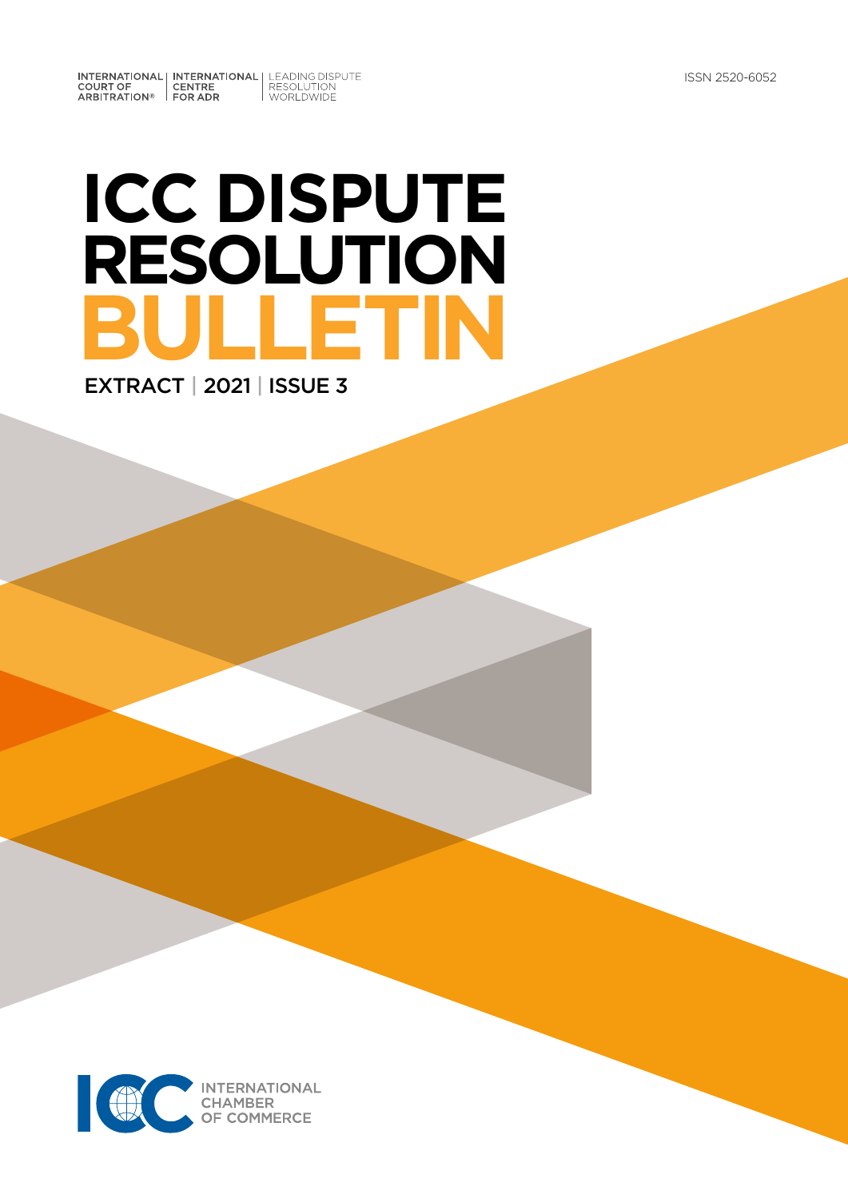INTERNATIONAL INTERNATIONAL LEADING DISPUTE<br>
COURT OF CENTRE RESOLUTION<br>
ARBITRATION® FOR ADR

# **ICC DISPUTE RESOLUTION BULLETIN** EXTRACT | 2021 | ISSUE 3

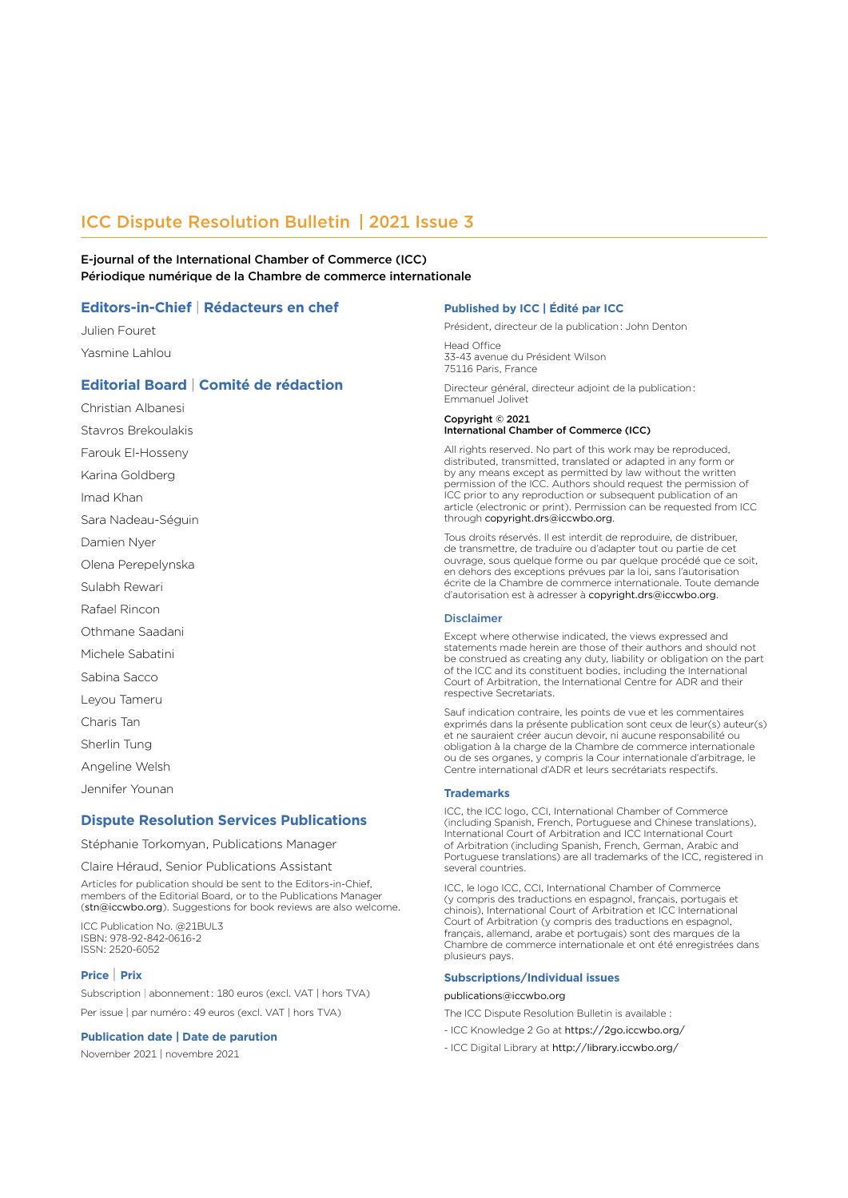## ICC Dispute Resolution Bulletin | 2021 Issue 3

E-journal of the International Chamber of Commerce (ICC) Périodique numérique de la Chambre de commerce internationale

#### **Editors-in-Chief** | **Rédacteurs en chef**

Julien Fouret Yasmine Lahlou

### **Editorial Board** | **Comité de rédaction**

Christian Albanesi Stavros Brekoulakis

Farouk El-Hosseny

Karina Goldberg

Imad Khan

Sara Nadeau-Séguin

Damien Nyer

Olena Perepelynska

Sulabh Rewari

Rafael Rincon

Othmane Saadani

Michele Sabatini

Sabina Sacco

Leyou Tameru

Charis Tan

Sherlin Tung

Angeline Welsh

Jennifer Younan

#### **Dispute Resolution Services Publications**

Stéphanie Torkomyan, Publications Manager

Claire Héraud, Senior Publications Assistant

Articles for publication should be sent to the Editors-in-Chief, members of the Editorial Board, or to the Publications Manager (stn@iccwbo.org). Suggestions for book reviews are also welcome.

ICC Publication No. @21BUL3 ISBN: 978-92-842-0616-2 ISSN: 2520-6052

#### **Price** | **Prix**

Subscription | abonnement : 180 euros (excl. VAT | hors TVA) Per issue | par numéro : 49 euros (excl. VAT | hors TVA)

#### **Publication date | Date de parution**

November 2021 | novembre 2021

#### **Published by ICC | Édité par ICC**

Président, directeur de la publication : John Denton

Head Office 33-43 avenue du Président Wilson 75116 Paris, France

Directeur général, directeur adjoint de la publication : Emmanuel Jolivet

#### Copyright © 2021

#### International Chamber of Commerce (ICC)

All rights reserved. No part of this work may be reproduced, distributed, transmitted, translated or adapted in any form or by any means except as permitted by law without the written permission of the ICC. Authors should request the permission of ICC prior to any reproduction or subsequent publication of an article (electronic or print). Permission can be requested from ICC through copyright.drs@iccwbo.org.

Tous droits réservés. Il est interdit de reproduire, de distribuer, de transmettre, de traduire ou d'adapter tout ou partie de cet ouvrage, sous quelque forme ou par quelque procédé que ce soit, en dehors des exceptions prévues par la loi, sans l'autorisation écrite de la Chambre de commerce internationale. Toute demande d'autorisation est à adresser à copyright.drs@iccwbo.org.

#### Disclaimer

Except where otherwise indicated, the views expressed and statements made herein are those of their authors and should not be construed as creating any duty, liability or obligation on the part of the ICC and its constituent bodies, including the International Court of Arbitration, the International Centre for ADR and their respective Secretariats.

Sauf indication contraire, les points de vue et les commentaires exprimés dans la présente publication sont ceux de leur(s) auteur(s) et ne sauraient créer aucun devoir, ni aucune responsabilité ou obligation à la charge de la Chambre de commerce internationale ou de ses organes, y compris la Cour internationale d'arbitrage, le Centre international d'ADR et leurs secrétariats respectifs.

#### **Trademarks**

ICC, the ICC logo, CCI, International Chamber of Commerce (including Spanish, French, Portuguese and Chinese translations), International Court of Arbitration and ICC International Court of Arbitration (including Spanish, French, German, Arabic and Portuguese translations) are all trademarks of the ICC, registered in several countries.

ICC, le logo ICC, CCI, International Chamber of Commerce (y compris des traductions en espagnol, français, portugais et chinois), International Court of Arbitration et ICC International Court of Arbitration (y compris des traductions en espagnol, français, allemand, arabe et portugais) sont des marques de la Chambre de commerce internationale et ont été enregistrées dans plusieurs pays.

#### **Subscriptions/Individual issues**

#### publications@iccwbo.org

The ICC Dispute Resolution Bulletin is available :

- ICC Knowledge 2 Go at <https://2go.iccwbo.org/>
- ICC Digital Library at http://library.iccwbo.org/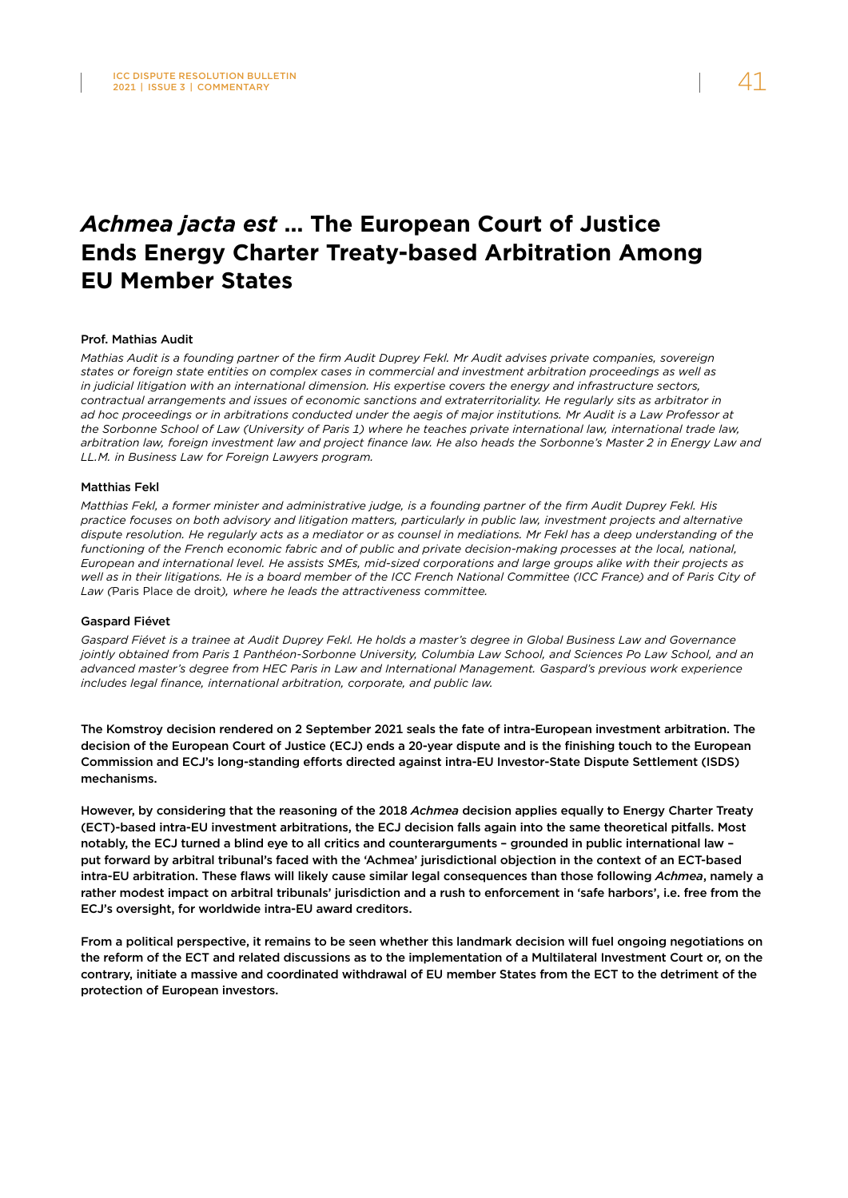## *Achmea jacta est* **… The European Court of Justice Ends Energy Charter Treaty-based Arbitration Among EU Member States**

#### Prof. Mathias Audit

*Mathias Audit is a founding partner of the firm Audit Duprey Fekl. Mr Audit advises private companies, sovereign states or foreign state entities on complex cases in commercial and investment arbitration proceedings as well as in judicial litigation with an international dimension. His expertise covers the energy and infrastructure sectors, contractual arrangements and issues of economic sanctions and extraterritoriality. He regularly sits as arbitrator in ad hoc proceedings or in arbitrations conducted under the aegis of major institutions. Mr Audit is a Law Professor at the Sorbonne School of Law (University of Paris 1) where he teaches private international law, international trade law, arbitration law, foreign investment law and project finance law. He also heads the Sorbonne's Master 2 in Energy Law and LL.M. in Business Law for Foreign Lawyers program.*

#### Matthias Fekl

*Matthias Fekl, a former minister and administrative judge, is a founding partner of the firm Audit Duprey Fekl. His practice focuses on both advisory and litigation matters, particularly in public law, investment projects and alternative dispute resolution. He regularly acts as a mediator or as counsel in mediations. Mr Fekl has a deep understanding of the*  functioning of the French economic fabric and of public and private decision-making processes at the local, national, *European and international level. He assists SMEs, mid-sized corporations and large groups alike with their projects as*  well as in their litigations. He is a board member of the ICC French National Committee (ICC France) and of Paris City of *Law (*Paris Place de droit*), where he leads the attractiveness committee.*

#### Gaspard Fiévet

*Gaspard Fiévet is a trainee at Audit Duprey Fekl. He holds a master's degree in Global Business Law and Governance jointly obtained from Paris 1 Panthéon-Sorbonne University, Columbia Law School, and Sciences Po Law School, and an advanced master's degree from HEC Paris in Law and International Management. Gaspard's previous work experience includes legal finance, international arbitration, corporate, and public law.* 

The Komstroy decision rendered on 2 September 2021 seals the fate of intra-European investment arbitration. The decision of the European Court of Justice (ECJ) ends a 20-year dispute and is the finishing touch to the European Commission and ECJ's long-standing efforts directed against intra-EU Investor-State Dispute Settlement (ISDS) mechanisms.

However, by considering that the reasoning of the 2018 *Achmea* decision applies equally to Energy Charter Treaty (ECT)-based intra-EU investment arbitrations, the ECJ decision falls again into the same theoretical pitfalls. Most notably, the ECJ turned a blind eye to all critics and counterarguments – grounded in public international law – put forward by arbitral tribunal's faced with the 'Achmea' jurisdictional objection in the context of an ECT-based intra-EU arbitration. These flaws will likely cause similar legal consequences than those following *Achmea*, namely a rather modest impact on arbitral tribunals' jurisdiction and a rush to enforcement in 'safe harbors', i.e. free from the ECJ's oversight, for worldwide intra-EU award creditors.

From a political perspective, it remains to be seen whether this landmark decision will fuel ongoing negotiations on the reform of the ECT and related discussions as to the implementation of a Multilateral Investment Court or, on the contrary, initiate a massive and coordinated withdrawal of EU member States from the ECT to the detriment of the protection of European investors.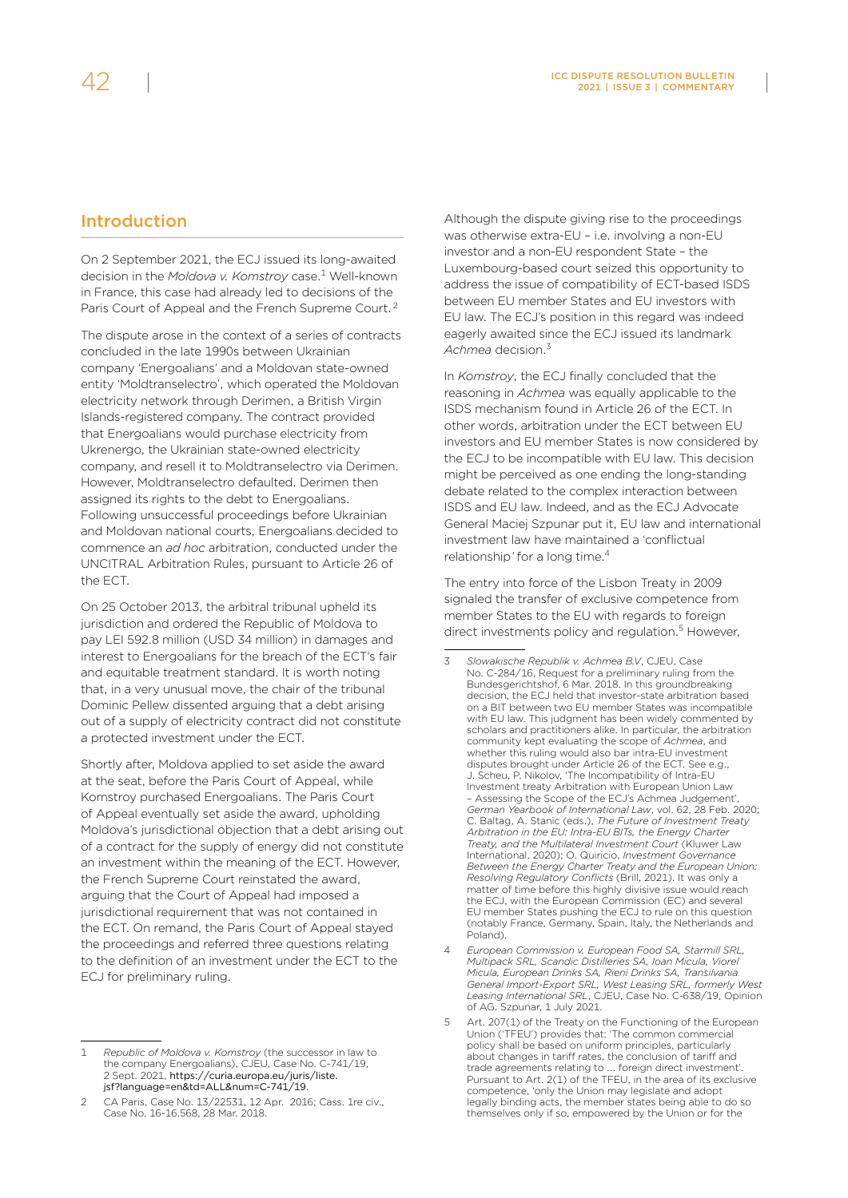## Introduction

On 2 September 2021, the ECJ issued its long-awaited decision in the *Moldova v. Komstroy* case.1 Well-known in France, this case had already led to decisions of the Paris Court of Appeal and the French Supreme Court. <sup>2</sup>

The dispute arose in the context of a series of contracts concluded in the late 1990s between Ukrainian company 'Energoalians' and a Moldovan state-owned entity 'Moldtranselectro', which operated the Moldovan electricity network through Derimen, a British Virgin Islands-registered company. The contract provided that Energoalians would purchase electricity from Ukrenergo, the Ukrainian state-owned electricity company, and resell it to Moldtranselectro via Derimen. However, Moldtranselectro defaulted. Derimen then assigned its rights to the debt to Energoalians. Following unsuccessful proceedings before Ukrainian and Moldovan national courts, Energoalians decided to commence an *ad hoc* arbitration, conducted under the UNCITRAL Arbitration Rules, pursuant to Article 26 of the ECT.

On 25 October 2013, the arbitral tribunal upheld its jurisdiction and ordered the Republic of Moldova to pay LEI 592.8 million (USD 34 million) in damages and interest to Energoalians for the breach of the ECT's fair and equitable treatment standard. It is worth noting that, in a very unusual move, the chair of the tribunal Dominic Pellew dissented arguing that a debt arising out of a supply of electricity contract did not constitute a protected investment under the ECT.

Shortly after, Moldova applied to set aside the award at the seat, before the Paris Court of Appeal, while Komstroy purchased Energoalians. The Paris Court of Appeal eventually set aside the award, upholding Moldova's jurisdictional objection that a debt arising out of a contract for the supply of energy did not constitute an investment within the meaning of the ECT. However, the French Supreme Court reinstated the award, arguing that the Court of Appeal had imposed a jurisdictional requirement that was not contained in the ECT. On remand, the Paris Court of Appeal stayed the proceedings and referred three questions relating to the definition of an investment under the ECT to the ECJ for preliminary ruling.

Although the dispute giving rise to the proceedings was otherwise extra-EU – i.e. involving a non-EU investor and a non-EU respondent State – the Luxembourg-based court seized this opportunity to address the issue of compatibility of ECT-based ISDS between EU member States and EU investors with EU law. The ECJ's position in this regard was indeed eagerly awaited since the ECJ issued its landmark *Achmea* decision.3

In *Komstroy*, the ECJ finally concluded that the reasoning in *Achmea* was equally applicable to the ISDS mechanism found in Article 26 of the ECT. In other words, arbitration under the ECT between EU investors and EU member States is now considered by the ECJ to be incompatible with EU law. This decision might be perceived as one ending the long-standing debate related to the complex interaction between ISDS and EU law. Indeed, and as the ECJ Advocate General Maciej Szpunar put it, EU law and international investment law have maintained a 'conflictual relationship*'* for a long time.4

The entry into force of the Lisbon Treaty in 2009 signaled the transfer of exclusive competence from member States to the EU with regards to foreign direct investments policy and regulation.<sup>5</sup> However,

<sup>1</sup> *Republic of Moldova v. Komstroy* (the successor in law to the company Energoalians), CJEU, Case No. C-741/19, 2 Sept. 2021, [https://curia.europa.eu/juris/liste.](https://curia.europa.eu/juris/liste.jsf?language=en&td=ALL&num=C-741/19) [jsf?language=en&td=ALL&num=C-741/19](https://curia.europa.eu/juris/liste.jsf?language=en&td=ALL&num=C-741/19).

<sup>2</sup> CA Paris, Case No. 13/22531, 12 Apr. 2016; Cass. 1re civ., Case No. 16-16.568, 28 Mar. 2018.

<sup>3</sup> *Slowakische Republik v. Achmea B.V*, CJEU, Case No. C-284/16, Request for a preliminary ruling from the Bundesgerichtshof, 6 Mar. 2018. In this groundbreaking decision, the ECJ held that investor-state arbitration based on a BIT between two EU member States was incompatible with EU law. This judgment has been widely commented by scholars and practitioners alike. In particular, the arbitration community kept evaluating the scope of *Achmea*, and whether this ruling would also bar intra-EU investment disputes brought under Article 26 of the ECT. See e.g., J. Scheu, P. Nikolov, 'The Incompatibility of Intra-EU Investment treaty Arbitration with European Union Law Assessing the Scope of the ECJ's Achmea Judgement' *German Yearbook of International Law*, vol. 62, 28 Feb. 2020; C. Baltag, A. Stanic (eds.), *The Future of Investment Treaty Arbitration in the EU: Intra-EU BITs, the Energy Charter Treaty, and the Multilateral Investment Court* (Kluwer Law International, 2020); O. Quiricio, *Investment Governance Between the Energy Charter Treaty and the European Union: Resolving Regulatory Conflicts* (Brill, 2021). It was only a matter of time before this highly divisive issue would reach the ECJ, with the European Commission (EC) and several EU member States pushing the ECJ to rule on this question (notably France, Germany, Spain, Italy, the Netherlands and Poland).

<sup>4</sup> *European Commission v. European Food SA, Starmill SRL, Multipack SRL, Scandic Distilleries SA, Ioan Micula, Viorel Micula, European Drinks SA, Rieni Drinks SA, Transilvania General Import-Export SRL, West Leasing SRL, formerly West Leasing International SRL*, CJEU, Case No. C-638/19, Opinion of AG. Szpunar, 1 July 2021.

Art. 207(1) of the Treaty on the Functioning of the European Union ('TFEU') provides that: 'The common commercial policy shall be based on uniform principles, particularly about changes in tariff rates, the conclusion of tariff and trade agreements relating to …. foreign direct investment'. Pursuant to Art. 2(1) of the TFEU, in the area of its exclusive competence, 'only the Union may legislate and adopt legally binding acts, the member states being able to do so themselves only if so, empowered by the Union or for the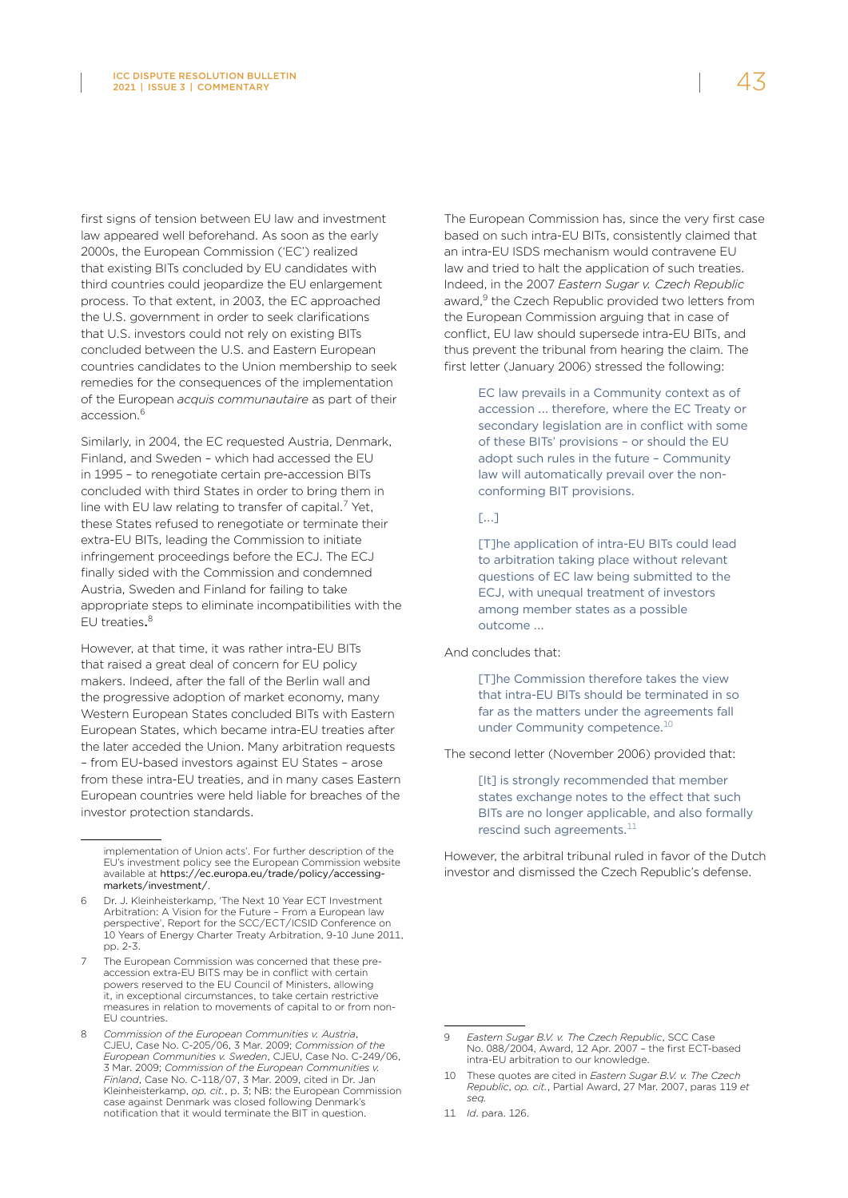first signs of tension between EU law and investment law appeared well beforehand. As soon as the early 2000s, the European Commission ('EC') realized that existing BITs concluded by EU candidates with third countries could jeopardize the EU enlargement process. To that extent, in 2003, the EC approached the U.S. government in order to seek clarifications that U.S. investors could not rely on existing BITs concluded between the U.S. and Eastern European countries candidates to the Union membership to seek remedies for the consequences of the implementation of the European *acquis communautaire* as part of their accession.6

Similarly, in 2004, the EC requested Austria, Denmark, Finland, and Sweden – which had accessed the EU in 1995 – to renegotiate certain pre-accession BITs concluded with third States in order to bring them in line with EU law relating to transfer of capital.<sup>7</sup> Yet, these States refused to renegotiate or terminate their extra-EU BITs, leading the Commission to initiate infringement proceedings before the ECJ. The ECJ finally sided with the Commission and condemned Austria, Sweden and Finland for failing to take appropriate steps to eliminate incompatibilities with the EU treaties.<sup>8</sup>

However, at that time, it was rather intra-EU BITs that raised a great deal of concern for EU policy makers. Indeed, after the fall of the Berlin wall and the progressive adoption of market economy, many Western European States concluded BITs with Eastern European States, which became intra-EU treaties after the later acceded the Union. Many arbitration requests – from EU-based investors against EU States – arose from these intra-EU treaties, and in many cases Eastern European countries were held liable for breaches of the investor protection standards.

The European Commission has, since the very first case based on such intra-EU BITs, consistently claimed that an intra-EU ISDS mechanism would contravene EU law and tried to halt the application of such treaties. Indeed, in the 2007 *Eastern Sugar v. Czech Republic* award,<sup>9</sup> the Czech Republic provided two letters from the European Commission arguing that in case of conflict, EU law should supersede intra-EU BITs, and thus prevent the tribunal from hearing the claim. The first letter (January 2006) stressed the following:

> EC law prevails in a Community context as of accession ... therefore, where the EC Treaty or secondary legislation are in conflict with some of these BITs' provisions – or should the EU adopt such rules in the future – Community law will automatically prevail over the nonconforming BIT provisions.

#### [.…]

[T]he application of intra-EU BITs could lead to arbitration taking place without relevant questions of EC law being submitted to the ECJ, with unequal treatment of investors among member states as a possible outcome ….

And concludes that:

[T]he Commission therefore takes the view that intra-EU BITs should be terminated in so far as the matters under the agreements fall under Community competence.<sup>10</sup>

The second letter (November 2006) provided that:

[It] is strongly recommended that member states exchange notes to the effect that such BITs are no longer applicable, and also formally rescind such agreements. $^{11}$ 

However, the arbitral tribunal ruled in favor of the Dutch investor and dismissed the Czech Republic's defense.

implementation of Union acts'. For further description of the EU's investment policy see the European Commission website available at [https://ec.europa.eu/trade/policy/accessing](https://ec.europa.eu/trade/policy/accessing-markets/investment/)[markets/investment/](https://ec.europa.eu/trade/policy/accessing-markets/investment/).

<sup>6</sup> Dr. J. Kleinheisterkamp, 'The Next 10 Year ECT Investment Arbitration: A Vision for the Future – From a European law perspective', Report for the SCC/ECT/ICSID Conference on 10 Years of Energy Charter Treaty Arbitration, 9-10 June 2011, pp. 2-3.

<sup>7</sup> The European Commission was concerned that these preaccession extra-EU BITS may be in conflict with certain powers reserved to the EU Council of Ministers, allowing it, in exceptional circumstances, to take certain restrictive measures in relation to movements of capital to or from non-EU countries.

<sup>8</sup> *Commission of the European Communities v. Austria*, CJEU, Case No. C-205/06, 3 Mar. 2009; *Commission of the European Communities v. Sweden*, CJEU, Case No. C-249/06, 3 Mar. 2009; *Commission of the European Communities v. Finland*, Case No. C-118/07, 3 Mar. 2009, cited in Dr. Jan Kleinheisterkamp, *op. cit.*, p. 3; NB: the European Commission case against Denmark was closed following Denmark's notification that it would terminate the BIT in question.

<sup>9</sup> *Eastern Sugar B.V. v. The Czech Republic*, SCC Case No. 088/2004, Award, 12 Apr. 2007 – the first ECT-based intra-EU arbitration to our knowledge.

<sup>10</sup> These quotes are cited in *Eastern Sugar B.V. v. The Czech Republic*, *op. cit.*, Partial Award, 27 Mar. 2007, paras 119 *et seq.* 

<sup>11</sup> *Id*. para. 126.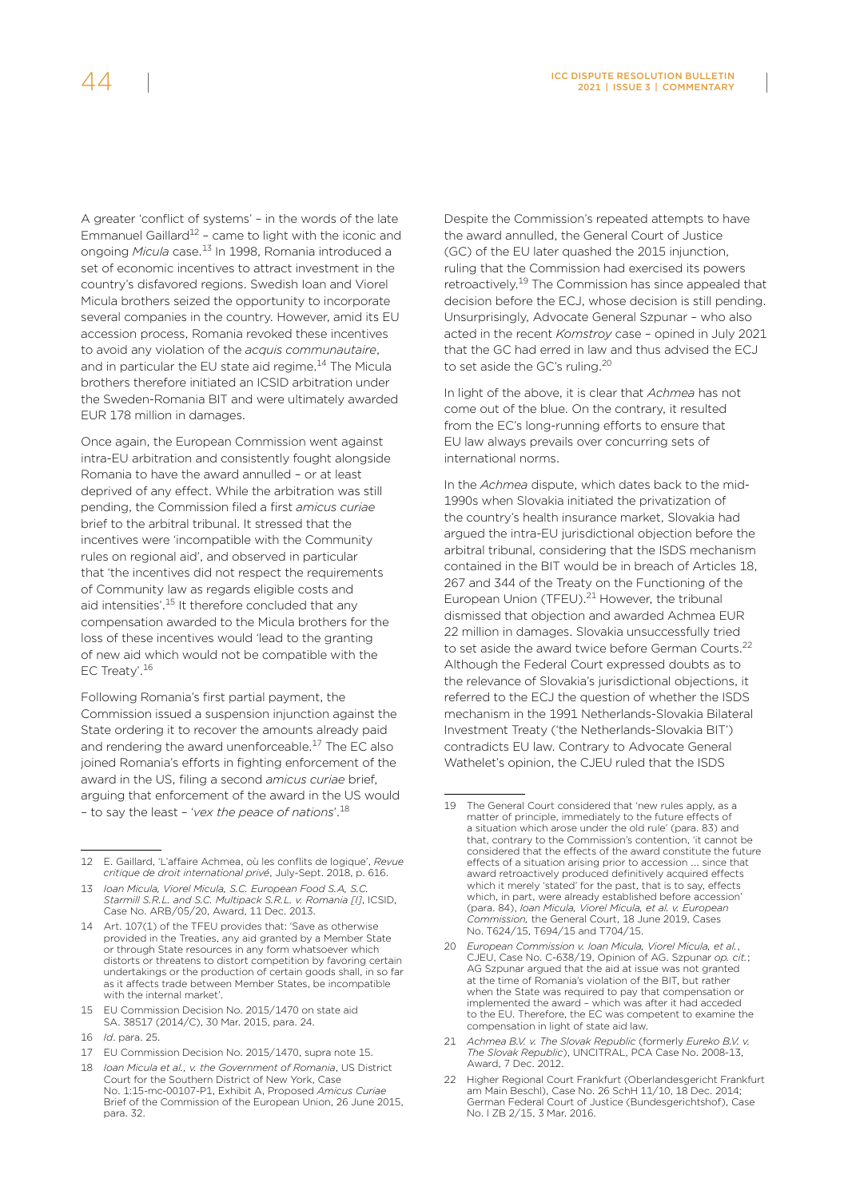A greater 'conflict of systems' – in the words of the late Emmanuel Gaillard<sup>12</sup> - came to light with the iconic and ongoing *Micula* case.13 In 1998, Romania introduced a set of economic incentives to attract investment in the country's disfavored regions. Swedish Ioan and Viorel Micula brothers seized the opportunity to incorporate several companies in the country. However, amid its EU accession process, Romania revoked these incentives to avoid any violation of the *acquis communautaire*, and in particular the EU state aid regime.<sup>14</sup> The Micula brothers therefore initiated an ICSID arbitration under the Sweden-Romania BIT and were ultimately awarded EUR 178 million in damages.

Once again, the European Commission went against intra-EU arbitration and consistently fought alongside Romania to have the award annulled – or at least deprived of any effect. While the arbitration was still pending, the Commission filed a first *amicus curiae* brief to the arbitral tribunal. It stressed that the incentives were 'incompatible with the Community rules on regional aid', and observed in particular that 'the incentives did not respect the requirements of Community law as regards eligible costs and aid intensities'.15 It therefore concluded that any compensation awarded to the Micula brothers for the loss of these incentives would 'lead to the granting of new aid which would not be compatible with the EC Treaty'.<sup>16</sup>

Following Romania's first partial payment, the Commission issued a suspension injunction against the State ordering it to recover the amounts already paid and rendering the award unenforceable.<sup>17</sup> The EC also joined Romania's efforts in fighting enforcement of the award in the US, filing a second *amicus curiae* brief, arguing that enforcement of the award in the US would – to say the least – '*vex the peace of nations*'.18

16 *Id*. para. 25.

Despite the Commission's repeated attempts to have the award annulled, the General Court of Justice (GC) of the EU later quashed the 2015 injunction, ruling that the Commission had exercised its powers retroactively.19 The Commission has since appealed that decision before the ECJ, whose decision is still pending. Unsurprisingly, Advocate General Szpunar – who also acted in the recent *Komstroy* case – opined in July 2021 that the GC had erred in law and thus advised the ECJ to set aside the GC's ruling.<sup>20</sup>

In light of the above, it is clear that *Achmea* has not come out of the blue. On the contrary, it resulted from the EC's long-running efforts to ensure that EU law always prevails over concurring sets of international norms.

In the *Achmea* dispute, which dates back to the mid-1990s when Slovakia initiated the privatization of the country's health insurance market, Slovakia had argued the intra-EU jurisdictional objection before the arbitral tribunal, considering that the ISDS mechanism contained in the BIT would be in breach of Articles 18, 267 and 344 of the Treaty on the Functioning of the European Union (TFEU).<sup>21</sup> However, the tribunal dismissed that objection and awarded Achmea EUR 22 million in damages. Slovakia unsuccessfully tried to set aside the award twice before German Courts.<sup>22</sup> Although the Federal Court expressed doubts as to the relevance of Slovakia's jurisdictional objections, it referred to the ECJ the question of whether the ISDS mechanism in the 1991 Netherlands-Slovakia Bilateral Investment Treaty ('the Netherlands-Slovakia BIT') contradicts EU law. Contrary to Advocate General Wathelet's opinion, the CJEU ruled that the ISDS

<sup>12</sup> E. Gaillard, 'L'affaire Achmea, où les conflits de logique', *Revue critique de droit international privé*, July-Sept. 2018, p. 616.

<sup>13</sup> *Ioan Micula, Viorel Micula, S.C. European Food S.A, S.C. Starmill S.R.L. and S.C. Multipack S.R.L. v. Romania [I]*, ICSID, Case No. ARB/05/20, Award, 11 Dec. 2013.

<sup>14</sup> Art. 107(1) of the TFEU provides that: 'Save as otherwise provided in the Treaties, any aid granted by a Member State or through State resources in any form whatsoever which distorts or threatens to distort competition by favoring certain undertakings or the production of certain goods shall, in so far as it affects trade between Member States, be incompatible with the internal market'.

<sup>15</sup> EU Commission Decision No. 2015/1470 on state aid SA. 38517 (2014/C), 30 Mar. 2015, para. 24.

<sup>17</sup> EU Commission Decision No. 2015/1470, supra note 15.

<sup>18</sup> *Ioan Micula et al., v. the Government of Romania*, US District Court for the Southern District of New York, Case No. 1:15-mc-00107-P1, Exhibit A, Proposed *Amicus Curiae* Brief of the Commission of the European Union, 26 June 2015, para. 32.

<sup>19</sup> The General Court considered that 'new rules apply, as a matter of principle, immediately to the future effects of a situation which arose under the old rule' (para. 83) and that, contrary to the Commission's contention, 'it cannot be considered that the effects of the award constitute the future effects of a situation arising prior to accession …. since that award retroactively produced definitively acquired effects which it merely 'stated' for the past, that is to say, effects which, in part, were already established before accession' (para. 84), *Ioan Micula, Viorel Micula, et al. v. European Commission,* the General Court, 18 June 2019, Cases No. T624/15, T694/15 and T704/15.

<sup>20</sup> *European Commission v. Ioan Micula, Viorel Micula, et al.*, CJEU, Case No. C-638/19, Opinion of AG. Szpunar *op. cit.*; AG Szpunar argued that the aid at issue was not granted at the time of Romania's violation of the BIT, but rather when the State was required to pay that compensation or implemented the award – which was after it had acceded to the EU. Therefore, the EC was competent to examine the compensation in light of state aid law.

<sup>21</sup> *Achmea B.V. v. The Slovak Republic* (formerly *Eureko B.V. v. The Slovak Republic*), UNCITRAL, PCA Case No. 2008-13, Award, 7 Dec. 2012.

<sup>22</sup> Higher Regional Court Frankfurt (Oberlandesgericht Frankfurt am Main Beschl), Case No. [26 SchH 11/10,](https://beck-online.beck.de/Dokument?vpath=bibdata%252Fents%252Fbeckrs%252F2012%252Fcont%252Fbeckrs.2012.10291.htm) 18 Dec. 2014; German Federal Court of Justice (Bundesgerichtshof), Case No. [I ZB 2/15,](http://juris.bundesgerichtshof.de/cgi-bin/rechtsprechung/document.py?Gericht=bgh&Art=pm&Datum=2016&Sort=3&nr=74612&linked=bes&Blank=1&file=dokument.pdff) 3 Mar. 2016.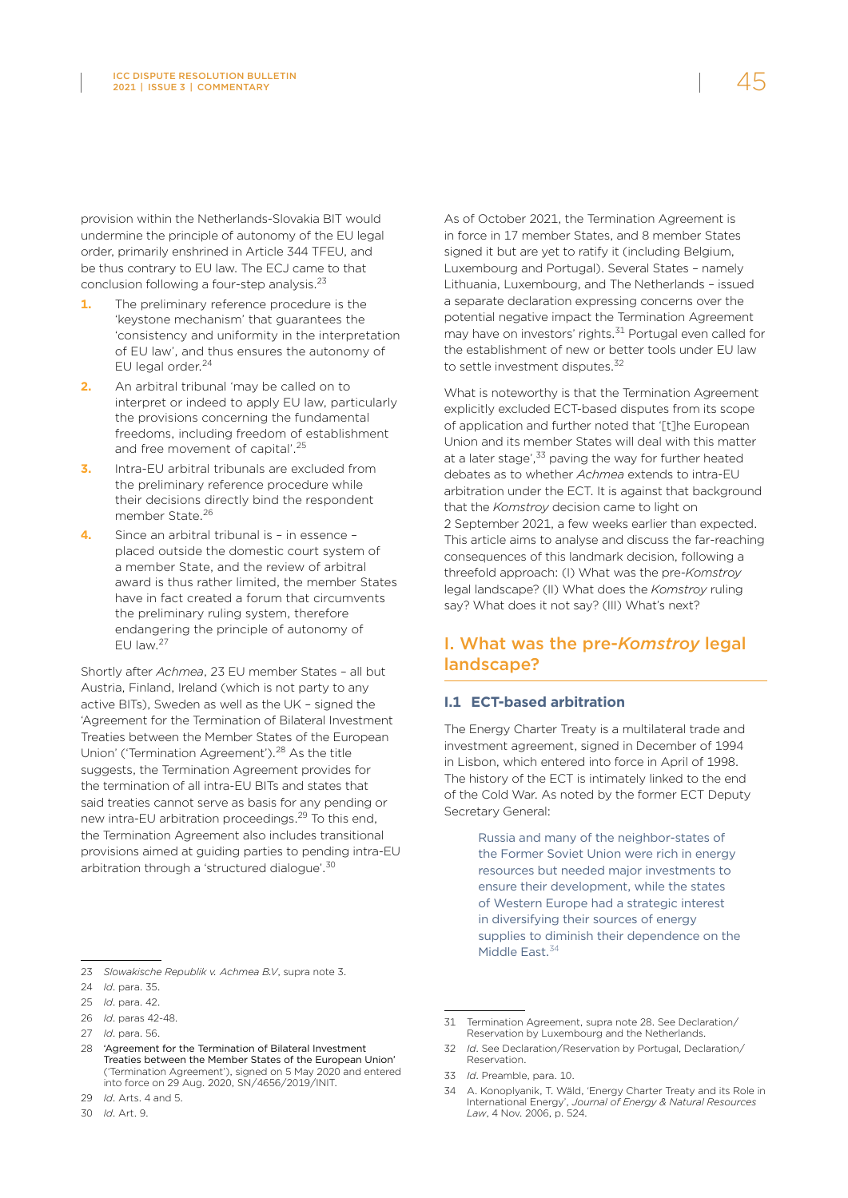provision within the Netherlands-Slovakia BIT would undermine the principle of autonomy of the EU legal order, primarily enshrined in Article 344 TFEU, and be thus contrary to EU law. The ECJ came to that conclusion following a four-step analysis.<sup>23</sup>

- **1.** The preliminary reference procedure is the 'keystone mechanism' that guarantees the 'consistency and uniformity in the interpretation of EU law', and thus ensures the autonomy of EU legal order.<sup>24</sup>
- **2.** An arbitral tribunal 'may be called on to interpret or indeed to apply EU law, particularly the provisions concerning the fundamental freedoms, including freedom of establishment and free movement of capital'.<sup>25</sup>
- **3.** Intra-EU arbitral tribunals are excluded from the preliminary reference procedure while their decisions directly bind the respondent member State.26
- **4.** Since an arbitral tribunal is in essence placed outside the domestic court system of a member State, and the review of arbitral award is thus rather limited, the member States have in fact created a forum that circumvents the preliminary ruling system, therefore endangering the principle of autonomy of EU law.27

Shortly after *Achmea*, 23 EU member States – all but Austria, Finland, Ireland (which is not party to any active BITs), Sweden as well as the UK – signed the 'Agreement for the Termination of Bilateral Investment Treaties between the Member States of the European Union' ('Termination Agreement').28 As the title suggests, the Termination Agreement provides for the termination of all intra-EU BITs and states that said treaties cannot serve as basis for any pending or new intra-EU arbitration proceedings.29 To this end, the Termination Agreement also includes transitional provisions aimed at guiding parties to pending intra-EU arbitration through a 'structured dialogue'.<sup>30</sup>

As of October 2021, the Termination Agreement is in force in 17 member States, and 8 member States signed it but are yet to ratify it (including Belgium, Luxembourg and Portugal). Several States – namely Lithuania, Luxembourg, and The Netherlands – issued a separate declaration expressing concerns over the potential negative impact the Termination Agreement may have on investors' rights.<sup>31</sup> Portugal even called for the establishment of new or better tools under EU law to settle investment disputes.<sup>32</sup>

What is noteworthy is that the Termination Agreement explicitly excluded ECT-based disputes from its scope of application and further noted that '[t]he European Union and its member States will deal with this matter at a later stage',<sup>33</sup> paving the way for further heated debates as to whether *Achmea* extends to intra-EU arbitration under the ECT. It is against that background that the *Komstroy* decision came to light on 2 September 2021, a few weeks earlier than expected. This article aims to analyse and discuss the far-reaching consequences of this landmark decision, following a threefold approach: (I) What was the pre-*Komstroy* legal landscape? (II) What does the *Komstroy* ruling say? What does it not say? (III) What's next?

## I. What was the pre-*Komstroy* legal landscape?

#### **I.1 ECT-based arbitration**

The Energy Charter Treaty is a multilateral trade and investment agreement, signed in December of 1994 in Lisbon, which entered into force in April of 1998. The history of the ECT is intimately linked to the end of the Cold War. As noted by the former ECT Deputy Secretary General:

> Russia and many of the neighbor-states of the Former Soviet Union were rich in energy resources but needed major investments to ensure their development, while the states of Western Europe had a strategic interest in diversifying their sources of energy supplies to diminish their dependence on the Middle East.<sup>34</sup>

33 *Id*. Preamble, para. 10.

<sup>23</sup> *Slowakische Republik v. Achmea B.V*, supra note 3.

<sup>24</sup> *Id*. para. 35.

<sup>25</sup> *Id*. para. 42.

<sup>26</sup> *Id*. paras 42-48.

<sup>27</sup> *Id*. para. 56.

<sup>28</sup> ['Agreement for the Termination of Bilateral Investment](https://www.consilium.europa.eu/fr/documents-publications/treaties-agreements/agreement/?id=2019049&DocLanguage=en)  [Treaties between the Member States of the European Union'](https://www.consilium.europa.eu/fr/documents-publications/treaties-agreements/agreement/?id=2019049&DocLanguage=en) [\('Termination Agreement'](https://www.consilium.europa.eu/fr/documents-publications/treaties-agreements/agreement/?id=2019049&DocLanguage=en)), signed on 5 May 2020 and entered into force on 29 Aug. 2020, SN/4656/2019/INIT.

<sup>29</sup> *Id*. Arts. 4 and 5.

<sup>30</sup> *Id*. Art. 9.

<sup>31</sup> Termination Agreement, supra note 28. See Declaration/ Reservation by Luxembourg and the Netherlands.

<sup>32</sup> *Id*. See Declaration/Reservation by Portugal, Declaration/ Reservation.

<sup>34</sup> A. Konoplyanik, T. Wäld, 'Energy Charter Treaty and its Role in International Energy', *Journal of Energy & Natural Resources Law*, 4 Nov. 2006, p. 524.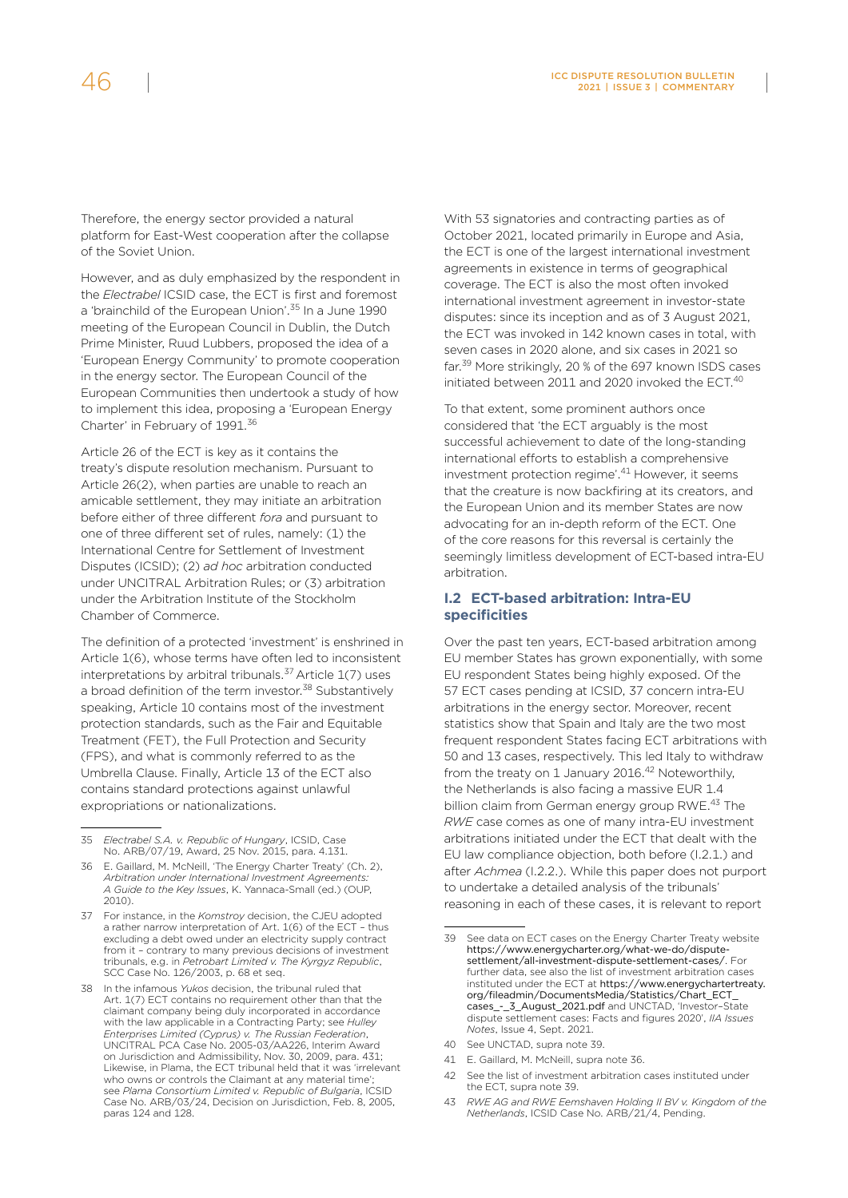Therefore, the energy sector provided a natural platform for East-West cooperation after the collapse of the Soviet Union.

However, and as duly emphasized by the respondent in the *Electrabel* ICSID case, the ECT is first and foremost a 'brainchild of the European Union'.<sup>35</sup> In a June 1990 meeting of the European Council in Dublin, the Dutch Prime Minister, Ruud Lubbers, proposed the idea of a 'European Energy Community' to promote cooperation in the energy sector. The European Council of the European Communities then undertook a study of how to implement this idea, proposing a 'European Energy Charter' in February of 1991.<sup>36</sup>

Article 26 of the ECT is key as it contains the treaty's dispute resolution mechanism. Pursuant to Article 26(2), when parties are unable to reach an amicable settlement, they may initiate an arbitration before either of three different *fora* and pursuant to one of three different set of rules, namely: (1) the International Centre for Settlement of Investment Disputes (ICSID); (2) *ad hoc* arbitration conducted under UNCITRAL Arbitration Rules; or (3) arbitration under the Arbitration Institute of the Stockholm Chamber of Commerce.

The definition of a protected 'investment' is enshrined in Article 1(6), whose terms have often led to inconsistent interpretations by arbitral tribunals.<sup>37</sup> Article  $1(7)$  uses a broad definition of the term investor.<sup>38</sup> Substantively speaking, Article 10 contains most of the investment protection standards, such as the Fair and Equitable Treatment (FET), the Full Protection and Security (FPS), and what is commonly referred to as the Umbrella Clause. Finally, Article 13 of the ECT also contains standard protections against unlawful expropriations or nationalizations.

With 53 signatories and contracting parties as of October 2021, located primarily in Europe and Asia, the ECT is one of the largest international investment agreements in existence in terms of geographical coverage. The ECT is also the most often invoked international investment agreement in investor-state disputes: since its inception and as of 3 August 2021, the ECT was invoked in 142 known cases in total, with seven cases in 2020 alone, and six cases in 2021 so far.<sup>39</sup> More strikingly, 20 % of the 697 known ISDS cases initiated between 2011 and 2020 invoked the ECT.<sup>40</sup>

To that extent, some prominent authors once considered that 'the ECT arguably is the most successful achievement to date of the long-standing international efforts to establish a comprehensive investment protection regime'.41 However, it seems that the creature is now backfiring at its creators, and the European Union and its member States are now advocating for an in-depth reform of the ECT. One of the core reasons for this reversal is certainly the seemingly limitless development of ECT-based intra-EU arbitration.

#### **I.2 ECT-based arbitration: Intra-EU specificities**

Over the past ten years, ECT-based arbitration among EU member States has grown exponentially, with some EU respondent States being highly exposed. Of the 57 ECT cases pending at ICSID, 37 concern intra-EU arbitrations in the energy sector. Moreover, recent statistics show that Spain and Italy are the two most frequent respondent States facing ECT arbitrations with 50 and 13 cases, respectively. This led Italy to withdraw from the treaty on 1 January 2016.<sup>42</sup> Noteworthily, the Netherlands is also facing a massive EUR 1.4 billion claim from German energy group RWE.<sup>43</sup> The *RWE* case comes as one of many intra-EU investment arbitrations initiated under the ECT that dealt with the EU law compliance objection, both before (I.2.1.) and after *Achmea* (I.2.2.). While this paper does not purport to undertake a detailed analysis of the tribunals' reasoning in each of these cases, it is relevant to report

<sup>35</sup> *Electrabel S.A. v. Republic of Hungary*, ICSID, Case No. ARB/07/19, Award, 25 Nov. 2015, para. 4.131.

<sup>36</sup> E. Gaillard, M. McNeill, 'The Energy Charter Treaty' (Ch. 2), *Arbitration under International Investment Agreements: A Guide to the Key Issues*, K. Yannaca-Small (ed.) (OUP, 2010).

<sup>37</sup> For instance, in the *Komstroy* decision, the CJEU adopted a rather narrow interpretation of Art. 1(6) of the ECT – thus excluding a debt owed under an electricity supply contract from it – contrary to many previous decisions of investment tribunals, e.g. in *Petrobart Limited v. The Kyrgyz Republic*, SCC Case No. 126/2003, p. 68 et seq.

<sup>38</sup> In the infamous *Yukos* decision, the tribunal ruled that Art. 1(7) ECT contains no requirement other than that the claimant company being duly incorporated in accordance with the law applicable in a Contracting Party; see *Hulley Enterprises Limited (Cyprus) v. The Russian Federation*, UNCITRAL PCA Case No. 2005-03/AA226, Interim Award on Jurisdiction and Admissibility, Nov. 30, 2009, para. 431; Likewise, in Plama, the ECT tribunal held that it was 'irrelevant who owns or controls the Claimant at any material time'; see *Plama Consortium Limited v. Republic of Bulgaria*, ICSID Case No. ARB/03/24, Decision on Jurisdiction, Feb. 8, 2005, paras 124 and 128.

<sup>39</sup> See data on ECT cases on the Energy Charter Treaty website [https://www.energycharter.org/what-we-do/dispute](https://www.energycharter.org/what-we-do/dispute-settlement/all-investment-dispute-settlement-cases/)[settlement/all-investment-dispute-settlement-cases/](https://www.energycharter.org/what-we-do/dispute-settlement/all-investment-dispute-settlement-cases/). For further data, see also the list of investment arbitration cases instituted under the ECT at [https://www.energychartertreaty.](https://www.energychartertreaty.org/fileadmin/DocumentsMedia/Statistics/Chart_ECT_cases_-_3_August_2021.pdf) [org/fileadmin/DocumentsMedia/Statistics/Chart\\_ECT\\_](https://www.energychartertreaty.org/fileadmin/DocumentsMedia/Statistics/Chart_ECT_cases_-_3_August_2021.pdf) cases - 3 August 2021.pdf and UNCTAD, 'Investor-State dispute settlement cases: Facts and figures 2020', *IIA Issues Notes*, Issue 4, Sept. 2021.

<sup>40</sup> See UNCTAD, supra note 39.

<sup>41</sup> E. Gaillard, M. McNeill, supra note 36.

<sup>42</sup> See the list of investment arbitration cases instituted under the ECT, supra note 39.

<sup>43</sup> *RWE AG and RWE Eemshaven Holding II BV v. Kingdom of the Netherlands*, ICSID Case No. ARB/21/4, Pending.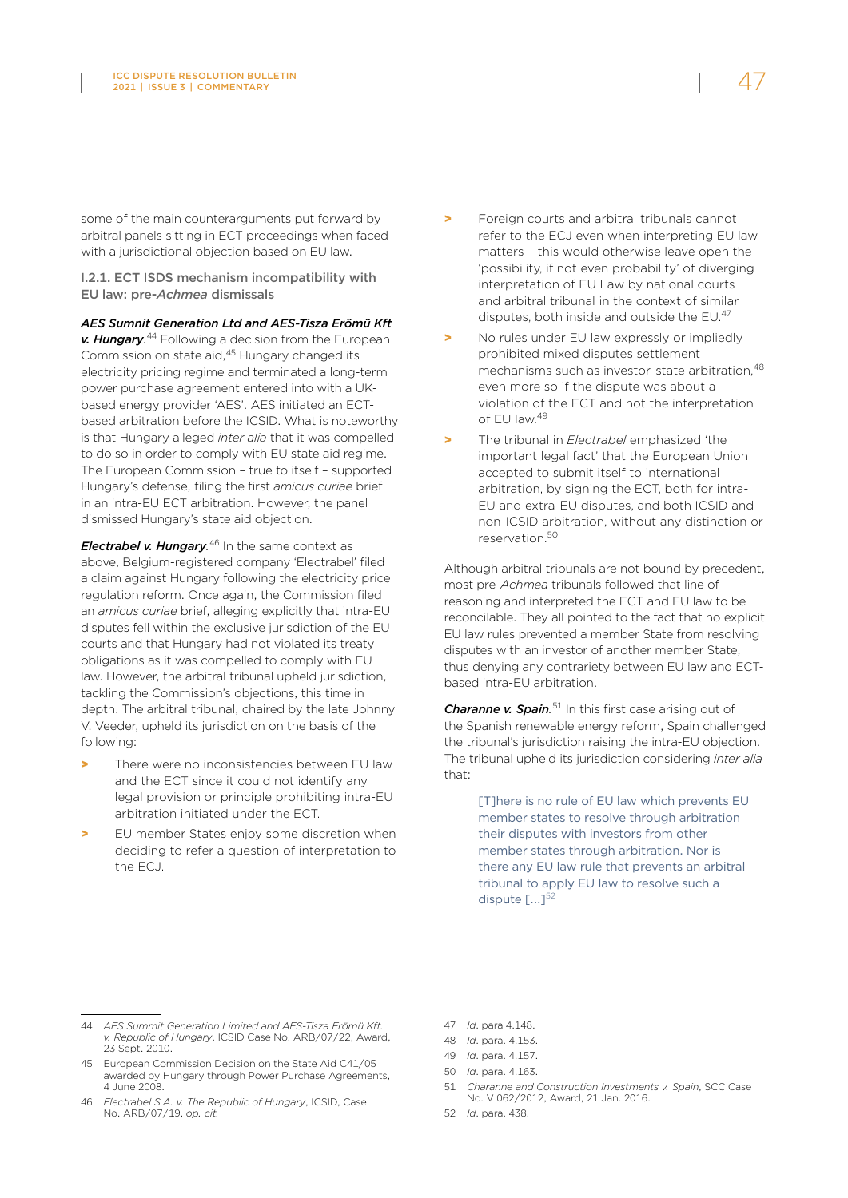some of the main counterarguments put forward by arbitral panels sitting in ECT proceedings when faced with a jurisdictional objection based on EU law.

I.2.1. ECT ISDS mechanism incompatibility with EU law: pre-*Achmea* dismissals

*AES Sumnit Generation Ltd and AES-Tisza Erömü Kft* 

*v. Hungary.* 44 Following a decision from the European Commission on state aid,<sup>45</sup> Hungary changed its electricity pricing regime and terminated a long-term power purchase agreement entered into with a UKbased energy provider 'AES'. AES initiated an ECTbased arbitration before the ICSID. What is noteworthy is that Hungary alleged *inter alia* that it was compelled to do so in order to comply with EU state aid regime. The European Commission – true to itself – supported Hungary's defense, filing the first *amicus curiae* brief in an intra-EU ECT arbitration. However, the panel dismissed Hungary's state aid objection.

*Electrabel v. Hungary.* 46 In the same context as above, Belgium-registered company 'Electrabel' filed a claim against Hungary following the electricity price regulation reform. Once again, the Commission filed an *amicus curiae* brief, alleging explicitly that intra-EU disputes fell within the exclusive jurisdiction of the EU courts and that Hungary had not violated its treaty obligations as it was compelled to comply with EU law. However, the arbitral tribunal upheld jurisdiction, tackling the Commission's objections, this time in depth. The arbitral tribunal, chaired by the late Johnny V. Veeder, upheld its jurisdiction on the basis of the following:

- > There were no inconsistencies between EU law and the ECT since it could not identify any legal provision or principle prohibiting intra-EU arbitration initiated under the ECT.
- > EU member States enjoy some discretion when deciding to refer a question of interpretation to the ECJ.
- Foreign courts and arbitral tribunals cannot refer to the ECJ even when interpreting EU law matters – this would otherwise leave open the 'possibility, if not even probability' of diverging interpretation of EU Law by national courts and arbitral tribunal in the context of similar disputes, both inside and outside the EU.<sup>47</sup>
- > No rules under EU law expressly or impliedly prohibited mixed disputes settlement mechanisms such as investor-state arbitration.<sup>48</sup> even more so if the dispute was about a violation of the ECT and not the interpretation of EU law.<sup>49</sup>
- > The tribunal in *Electrabel* emphasized 'the important legal fact' that the European Union accepted to submit itself to international arbitration, by signing the ECT, both for intra-EU and extra-EU disputes, and both ICSID and non-ICSID arbitration, without any distinction or reservation. 50

Although arbitral tribunals are not bound by precedent, most pre-*Achmea* tribunals followed that line of reasoning and interpreted the ECT and EU law to be reconcilable. They all pointed to the fact that no explicit EU law rules prevented a member State from resolving disputes with an investor of another member State, thus denying any contrariety between EU law and ECTbased intra-EU arbitration.

*Charanne v. Spain.* 51 In this first case arising out of the Spanish renewable energy reform, Spain challenged the tribunal's jurisdiction raising the intra-EU objection. The tribunal upheld its jurisdiction considering *inter alia* that:

> [T]here is no rule of EU law which prevents EU member states to resolve through arbitration their disputes with investors from other member states through arbitration. Nor is there any EU law rule that prevents an arbitral tribunal to apply EU law to resolve such a dispute  $\lceil ... \rceil^{52}$

<sup>44</sup> *AES Summit Generation Limited and AES-Tisza Erömü Kft. v. Republic of Hungary*, ICSID Case No. ARB/07/22, Award, 23 Sept. 2010.

<sup>45</sup> European Commission Decision on the State Aid C41/05 awarded by Hungary through Power Purchase Agreements, 4 June 2008.

<sup>46</sup> *Electrabel S.A. v. The Republic of Hungary*, ICSID, Case No. ARB/07/19, *op. cit.* 

<sup>47</sup> *Id*. para 4.148.

<sup>48</sup> *Id*. para. 4.153.

<sup>49</sup> *Id*. para. 4.157.

<sup>50</sup> *Id*. para. 4.163.

<sup>51</sup> *Charanne and Construction Investments v. Spain*, SCC Case No. V 062/2012, Award, 21 Jan. 2016.

<sup>52</sup> *Id*. para. 438.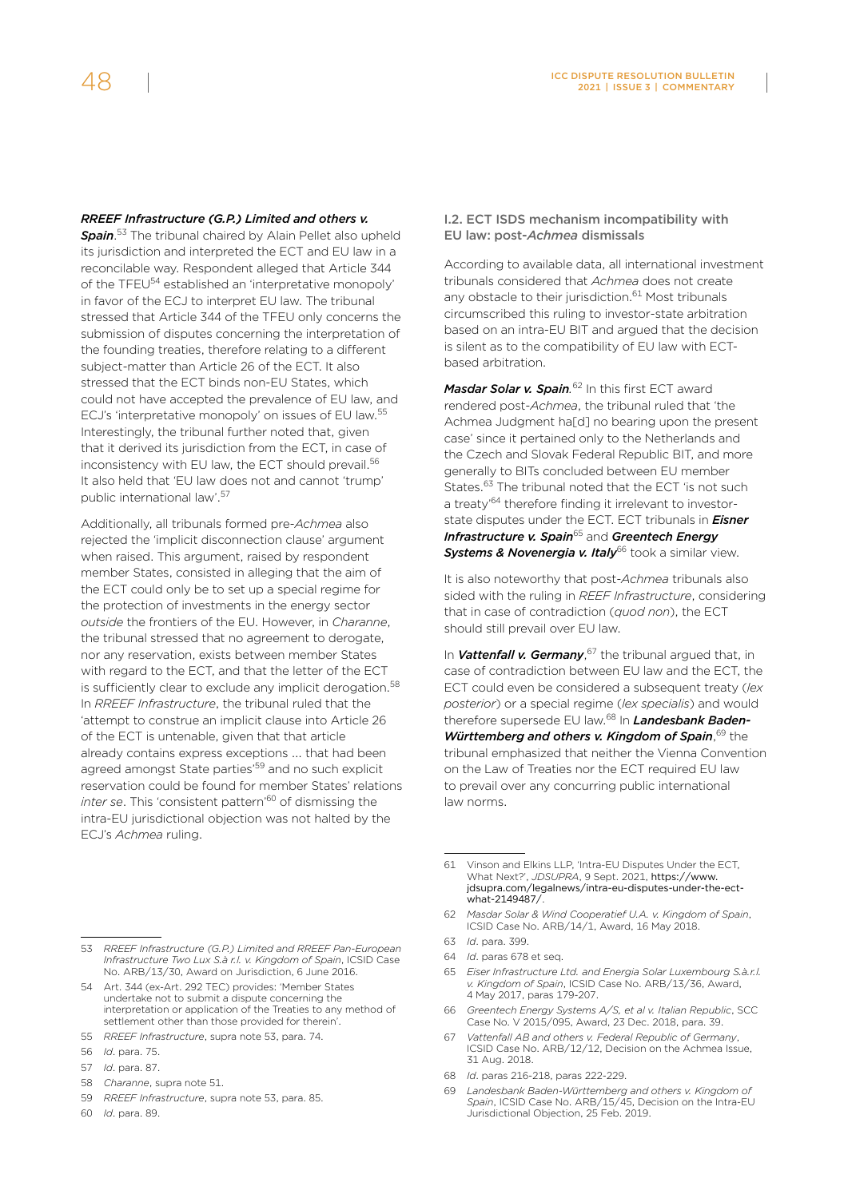#### *RREEF Infrastructure (G.P.) Limited and others v.*

*Spain*. 53 The tribunal chaired by Alain Pellet also upheld its jurisdiction and interpreted the ECT and EU law in a reconcilable way. Respondent alleged that Article 344 of the TFEU<sup>54</sup> established an 'interpretative monopoly' in favor of the ECJ to interpret EU law. The tribunal stressed that Article 344 of the TFEU only concerns the submission of disputes concerning the interpretation of the founding treaties, therefore relating to a different subject-matter than Article 26 of the ECT. It also stressed that the ECT binds non-EU States, which could not have accepted the prevalence of EU law, and ECJ's 'interpretative monopoly' on issues of EU law.55 Interestingly, the tribunal further noted that, given that it derived its jurisdiction from the ECT, in case of inconsistency with EU law, the ECT should prevail.<sup>56</sup> It also held that 'EU law does not and cannot 'trump' public international law'.57

Additionally, all tribunals formed pre-*Achmea* also rejected the 'implicit disconnection clause' argument when raised. This argument, raised by respondent member States, consisted in alleging that the aim of the ECT could only be to set up a special regime for the protection of investments in the energy sector *outside* the frontiers of the EU. However, in *Charanne*, the tribunal stressed that no agreement to derogate, nor any reservation, exists between member States with regard to the ECT, and that the letter of the ECT is sufficiently clear to exclude any implicit derogation.<sup>58</sup> In *RREEF Infrastructure*, the tribunal ruled that the 'attempt to construe an implicit clause into Article 26 of the ECT is untenable, given that that article already contains express exceptions ... that had been agreed amongst State parties<sup>'59</sup> and no such explicit reservation could be found for member States' relations *inter se*. This 'consistent pattern'60 of dismissing the intra-EU jurisdictional objection was not halted by the ECJ's *Achmea* ruling.

- 55 *RREEF Infrastructure*, supra note 53, para. 74.
- 56 *Id*. para. 75.
- 57 *Id*. para. 87.
- 58 *Charanne*, supra note 51.
- 59 *RREEF Infrastructure*, supra note 53, para. 85.
- 60 *Id*. para. 89.

#### I.2. ECT ISDS mechanism incompatibility with EU law: post-*Achmea* dismissals

According to available data, all international investment tribunals considered that *Achmea* does not create any obstacle to their jurisdiction.<sup>61</sup> Most tribunals circumscribed this ruling to investor-state arbitration based on an intra-EU BIT and argued that the decision is silent as to the compatibility of EU law with ECTbased arbitration.

*Masdar Solar v. Spain.* 62 In this first ECT award rendered post-*Achmea*, the tribunal ruled that 'the Achmea Judgment ha[d] no bearing upon the present case' since it pertained only to the Netherlands and the Czech and Slovak Federal Republic BIT, and more generally to BITs concluded between EU member States.<sup>63</sup> The tribunal noted that the ECT 'is not such a treaty'64 therefore finding it irrelevant to investorstate disputes under the ECT. ECT tribunals in *Eisner Infrastructure v. Spain*65 and *Greentech Energy*  **Systems & Novenergia v. Italy**<sup>66</sup> took a similar view.

It is also noteworthy that post-*Achmea* tribunals also sided with the ruling in *REEF Infrastructure*, considering that in case of contradiction (*quod non*), the ECT should still prevail over EU law.

In *Vattenfall v. Germany*, 67 the tribunal argued that, in case of contradiction between EU law and the ECT, the ECT could even be considered a subsequent treaty (*lex posterior*) or a special regime (*lex specialis*) and would therefore supersede EU law.68 In *Landesbank Baden-*Württemberg and others v. Kingdom of Spain, 69 the tribunal emphasized that neither the Vienna Convention on the Law of Treaties nor the ECT required EU law to prevail over any concurring public international law norms.

- 62 *Masdar Solar & Wind Cooperatief U.A. v. Kingdom of Spain*, ICSID Case No. ARB/14/1, Award, 16 May 2018.
- 63 *Id*. para. 399.
- 64 *Id*. paras 678 et seq.
- 65 *Eiser Infrastructure Ltd. and Energia Solar Luxembourg S.à.r.l. v. Kingdom of Spain*, ICSID Case No. ARB/13/36, Award, 4 May 2017, paras 179-207.
- 66 *Greentech Energy Systems A/S, et al v. Italian Republic*, SCC Case No. V 2015/095, Award, 23 Dec. 2018, para. 39.
- 67 *Vattenfall AB and others v. Federal Republic of Germany*, ICSID Case No. ARB/12/12, Decision on the Achmea Issue, 31 Aug. 2018.
- 68 *Id*. paras 216-218, paras 222-229.
- 69 *Landesbank Baden-Württemberg and others v. Kingdom of Spain*, ICSID Case No. ARB/15/45, Decision on the Intra-EU Jurisdictional Objection, 25 Feb. 2019.

<sup>53</sup> *RREEF Infrastructure (G.P.) Limited and RREEF Pan-European Infrastructure Two Lux S.à r.l. v. Kingdom of Spain*, ICSID Case No. ARB/13/30, Award on Jurisdiction, 6 June 2016.

<sup>54</sup> Art. 344 (ex-Art. 292 TEC) provides: 'Member States undertake not to submit a dispute concerning the interpretation or application of the Treaties to any method of settlement other than those provided for therein'

<sup>61</sup> Vinson and Elkins LLP, 'Intra-EU Disputes Under the ECT, What Next?', *JDSUPRA*, 9 Sept. 2021, [https://www.](https://www.jdsupra.com/legalnews/intra-eu-disputes-under-the-ect-what-2149487/) [jdsupra.com/legalnews/intra-eu-disputes-under-the-ect](https://www.jdsupra.com/legalnews/intra-eu-disputes-under-the-ect-what-2149487/)[what-2149487/](https://www.jdsupra.com/legalnews/intra-eu-disputes-under-the-ect-what-2149487/).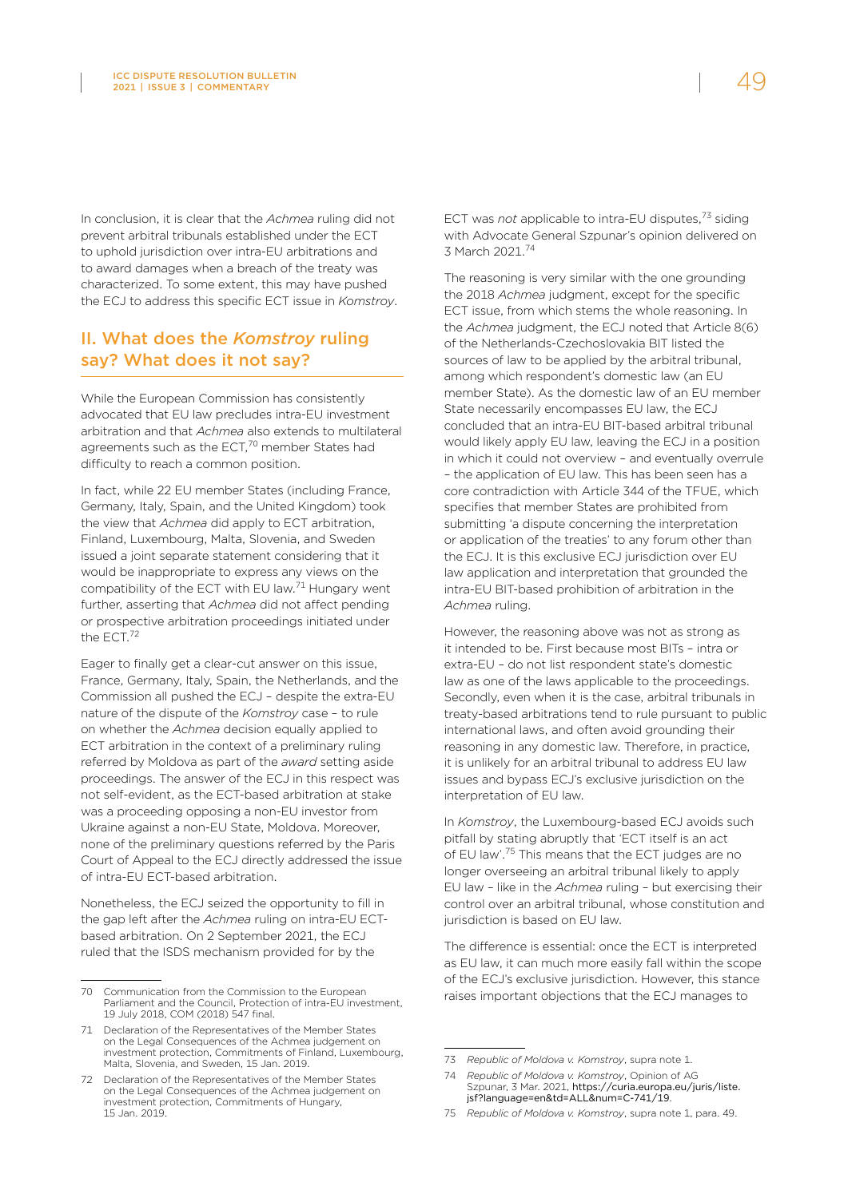In conclusion, it is clear that the *Achmea* ruling did not prevent arbitral tribunals established under the ECT to uphold jurisdiction over intra-EU arbitrations and to award damages when a breach of the treaty was characterized. To some extent, this may have pushed the ECJ to address this specific ECT issue in *Komstroy*.

## II. What does the *Komstroy* ruling say? What does it not say?

While the European Commission has consistently advocated that EU law precludes intra-EU investment arbitration and that *Achmea* also extends to multilateral agreements such as the ECT.<sup>70</sup> member States had difficulty to reach a common position.

In fact, while 22 EU member States (including France, Germany, Italy, Spain, and the United Kingdom) took the view that *Achmea* did apply to ECT arbitration, Finland, Luxembourg, Malta, Slovenia, and Sweden issued a joint separate statement considering that it would be inappropriate to express any views on the compatibility of the ECT with EU law.<sup>71</sup> Hungary went further, asserting that *Achmea* did not affect pending or prospective arbitration proceedings initiated under the ECT.<sup>72</sup>

Eager to finally get a clear-cut answer on this issue, France, Germany, Italy, Spain, the Netherlands, and the Commission all pushed the ECJ – despite the extra-EU nature of the dispute of the *Komstroy* case – to rule on whether the *Achmea* decision equally applied to ECT arbitration in the context of a preliminary ruling referred by Moldova as part of the *award* setting aside proceedings. The answer of the ECJ in this respect was not self-evident, as the ECT-based arbitration at stake was a proceeding opposing a non-EU investor from Ukraine against a non-EU State, Moldova. Moreover, none of the preliminary questions referred by the Paris Court of Appeal to the ECJ directly addressed the issue of intra-EU ECT-based arbitration.

Nonetheless, the ECJ seized the opportunity to fill in the gap left after the *Achmea* ruling on intra-EU ECTbased arbitration. On 2 September 2021, the ECJ ruled that the ISDS mechanism provided for by the

ECT was *not* applicable to intra-EU disputes,73 siding with Advocate General Szpunar's opinion delivered on 3 March 2021.74

The reasoning is very similar with the one grounding the 2018 *Achmea* judgment, except for the specific ECT issue, from which stems the whole reasoning. In the *Achmea* judgment, the ECJ noted that Article 8(6) of the Netherlands-Czechoslovakia BIT listed the sources of law to be applied by the arbitral tribunal, among which respondent's domestic law (an EU member State). As the domestic law of an EU member State necessarily encompasses EU law, the ECJ concluded that an intra-EU BIT-based arbitral tribunal would likely apply EU law, leaving the ECJ in a position in which it could not overview – and eventually overrule – the application of EU law. This has been seen has a core contradiction with Article 344 of the TFUE, which specifies that member States are prohibited from submitting 'a dispute concerning the interpretation or application of the treaties' to any forum other than the ECJ. It is this exclusive ECJ jurisdiction over EU law application and interpretation that grounded the intra-EU BIT-based prohibition of arbitration in the *Achmea* ruling.

However, the reasoning above was not as strong as it intended to be. First because most BITs – intra or extra-EU – do not list respondent state's domestic law as one of the laws applicable to the proceedings. Secondly, even when it is the case, arbitral tribunals in treaty-based arbitrations tend to rule pursuant to public international laws, and often avoid grounding their reasoning in any domestic law. Therefore, in practice, it is unlikely for an arbitral tribunal to address EU law issues and bypass ECJ's exclusive jurisdiction on the interpretation of EU law.

In *Komstroy*, the Luxembourg-based ECJ avoids such pitfall by stating abruptly that 'ECT itself is an act of EU law'.75 This means that the ECT judges are no longer overseeing an arbitral tribunal likely to apply EU law – like in the *Achmea* ruling – but exercising their control over an arbitral tribunal, whose constitution and jurisdiction is based on EU law.

The difference is essential: once the ECT is interpreted as EU law, it can much more easily fall within the scope of the ECJ's exclusive jurisdiction. However, this stance raises important objections that the ECJ manages to

<sup>70</sup> Communication from the Commission to the European Parliament and the Council, Protection of intra-EU investment, 19 July 2018, COM (2018) 547 final.

<sup>71</sup> Declaration of the Representatives of the Member States on the Legal Consequences of the Achmea judgement on investment protection, Commitments of Finland, Luxembourg, Malta, Slovenia, and Sweden, 15 Jan. 2019.

<sup>72</sup> Declaration of the Representatives of the Member States on the Legal Consequences of the Achmea judgement on investment protection, Commitments of Hungary, 15 Jan. 2019.

<sup>73</sup> *Republic of Moldova v. Komstroy*, supra note 1.

<sup>74</sup> *Republic of Moldova v. Komstroy*, Opinion of AG Szpunar, 3 Mar. 2021, [https://curia.europa.eu/juris/liste.](https://curia.europa.eu/juris/liste.jsf?language=en&td=ALL&num=C-741/19) [jsf?language=en&td=ALL&num=C-741/19](https://curia.europa.eu/juris/liste.jsf?language=en&td=ALL&num=C-741/19).

<sup>75</sup> *Republic of Moldova v. Komstroy*, supra note 1, para. 49.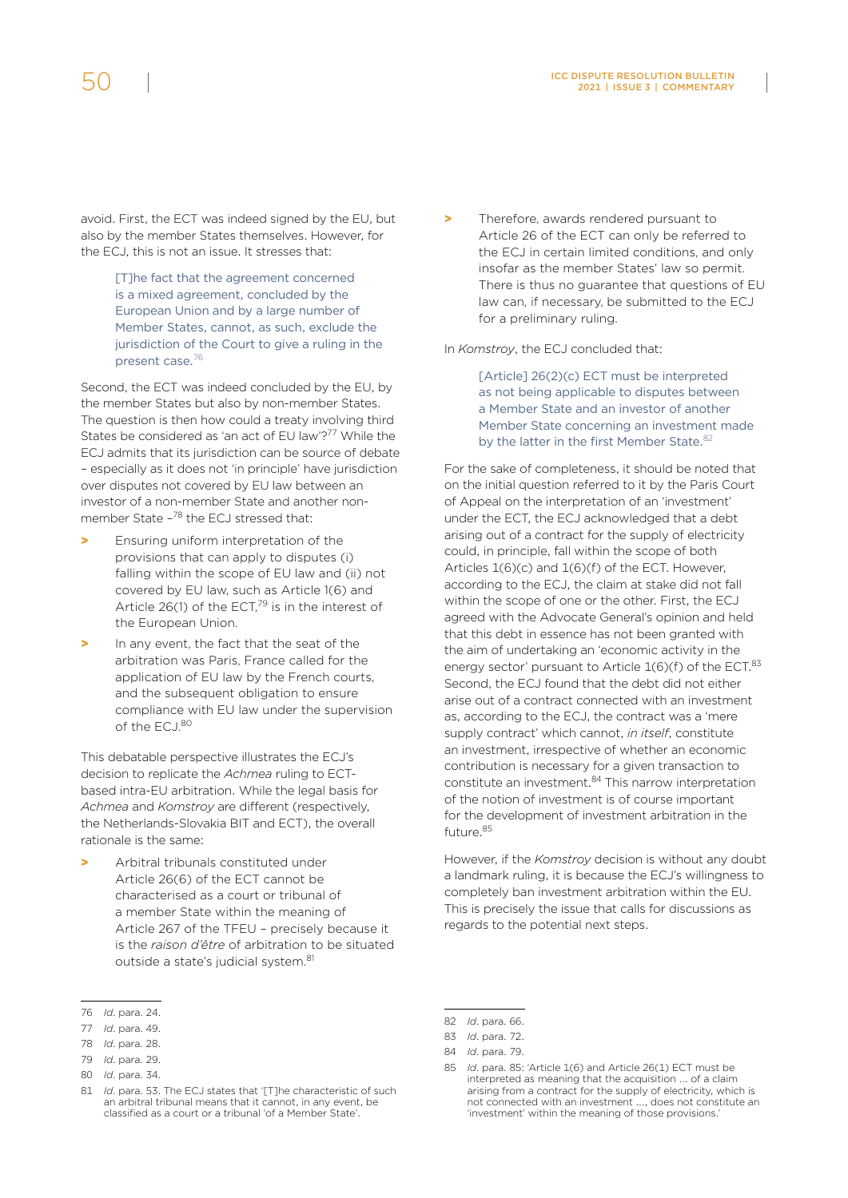avoid. First, the ECT was indeed signed by the EU, but also by the member States themselves. However, for the ECJ, this is not an issue. It stresses that:

> [T]he fact that the agreement concerned is a mixed agreement, concluded by the European Union and by a large number of Member States, cannot, as such, exclude the jurisdiction of the Court to give a ruling in the present case.<sup>76</sup>

Second, the ECT was indeed concluded by the EU, by the member States but also by non-member States. The question is then how could a treaty involving third States be considered as 'an act of EU law'?<sup>77</sup> While the ECJ admits that its jurisdiction can be source of debate – especially as it does not 'in principle' have jurisdiction over disputes not covered by EU law between an investor of a non-member State and another nonmember State -<sup>78</sup> the ECJ stressed that:

- > Ensuring uniform interpretation of the provisions that can apply to disputes (i) falling within the scope of EU law and (ii) not covered by EU law, such as Article 1(6) and Article 26(1) of the ECT, $^{79}$  is in the interest of the European Union.
- In any event, the fact that the seat of the arbitration was Paris, France called for the application of EU law by the French courts, and the subsequent obligation to ensure compliance with EU law under the supervision of the ECJ.<sup>80</sup>

This debatable perspective illustrates the ECJ's decision to replicate the *Achmea* ruling to ECTbased intra-EU arbitration. While the legal basis for *Achmea* and *Komstroy* are different (respectively, the Netherlands-Slovakia BIT and ECT), the overall rationale is the same:

Arbitral tribunals constituted under Article 26(6) of the ECT cannot be characterised as a court or tribunal of a member State within the meaning of Article 267 of the TFEU – precisely because it is the *raison d'être* of arbitration to be situated outside a state's judicial system.<sup>81</sup>

79 *Id*. para. 29.

Therefore, awards rendered pursuant to Article 26 of the ECT can only be referred to the ECJ in certain limited conditions, and only insofar as the member States' law so permit. There is thus no guarantee that questions of EU law can, if necessary, be submitted to the ECJ for a preliminary ruling.

In *Komstroy*, the ECJ concluded that:

[Article] 26(2)(c) ECT must be interpreted as not being applicable to disputes between a Member State and an investor of another Member State concerning an investment made by the latter in the first Member State.<sup>82</sup>

For the sake of completeness, it should be noted that on the initial question referred to it by the Paris Court of Appeal on the interpretation of an 'investment' under the ECT, the ECJ acknowledged that a debt arising out of a contract for the supply of electricity could, in principle, fall within the scope of both Articles 1(6)(c) and 1(6)(f) of the ECT. However, according to the ECJ, the claim at stake did not fall within the scope of one or the other. First, the ECJ agreed with the Advocate General's opinion and held that this debt in essence has not been granted with the aim of undertaking an 'economic activity in the energy sector' pursuant to Article 1(6)(f) of the ECT.<sup>83</sup> Second, the ECJ found that the debt did not either arise out of a contract connected with an investment as, according to the ECJ, the contract was a 'mere supply contract' which cannot, *in itself*, constitute an investment, irrespective of whether an economic contribution is necessary for a given transaction to constitute an investment.84 This narrow interpretation of the notion of investment is of course important for the development of investment arbitration in the future.85

However, if the *Komstroy* decision is without any doubt a landmark ruling, it is because the ECJ's willingness to completely ban investment arbitration within the EU. This is precisely the issue that calls for discussions as regards to the potential next steps.

<sup>76</sup> *Id*. para. 24.

<sup>77</sup> *Id*. para. 49.

<sup>78</sup> *Id*. para. 28.

<sup>80</sup> *Id*. para. 34.

<sup>81</sup> *Id*. para. 53. The ECJ states that '[T]he characteristic of such an arbitral tribunal means that it cannot, in any event, be classified as a court or a tribunal 'of a Member State'.

<sup>82</sup> *Id*. para. 66.

<sup>83</sup> *Id*. para. 72.

<sup>84</sup> *Id*. para. 79.

<sup>85</sup> *Id*. para. 85: 'Article 1(6) and Article 26(1) ECT must be interpreted as meaning that the acquisition …. of a claim arising from a contract for the supply of electricity, which is not connected with an investment .…, does not constitute an 'investment' within the meaning of those provisions.'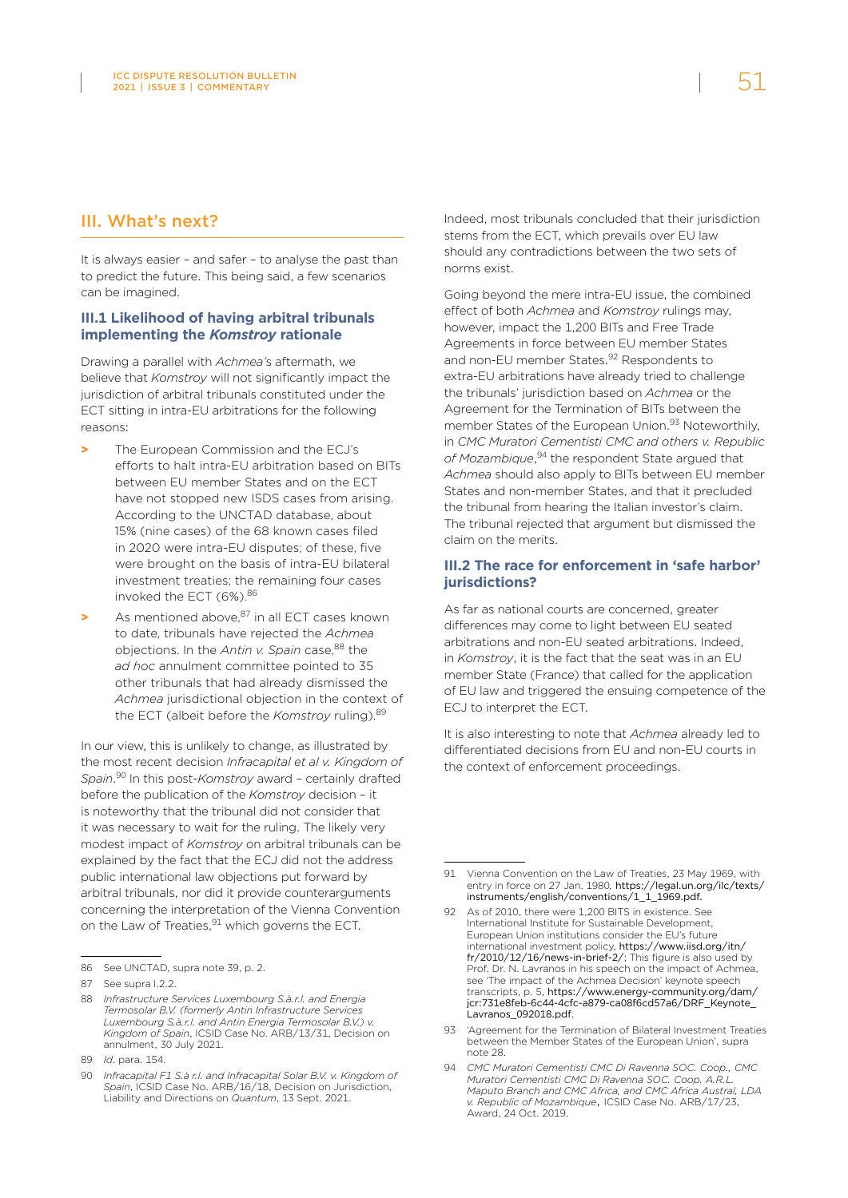## III. What's next?

It is always easier – and safer – to analyse the past than to predict the future. This being said, a few scenarios can be imagined.

#### **III.1 Likelihood of having arbitral tribunals implementing the** *Komstroy* **rationale**

Drawing a parallel with *Achmea'*s aftermath, we believe that *Komstroy* will not significantly impact the jurisdiction of arbitral tribunals constituted under the ECT sitting in intra-EU arbitrations for the following reasons:

- The European Commission and the ECJ's efforts to halt intra-EU arbitration based on BITs between EU member States and on the ECT have not stopped new ISDS cases from arising. According to the UNCTAD database, about 15% (nine cases) of the 68 known cases filed in 2020 were intra-EU disputes; of these, five were brought on the basis of intra-EU bilateral investment treaties; the remaining four cases invoked the ECT (6%). 86
- $\blacktriangleright$  As mentioned above.<sup>87</sup> in all ECT cases known to date, tribunals have rejected the *Achmea* objections. In the *Antin v. Spain* case.<sup>88</sup> the *ad hoc* annulment committee pointed to 35 other tribunals that had already dismissed the *Achmea* jurisdictional objection in the context of the ECT (albeit before the *Komstroy* ruling). 89

In our view, this is unlikely to change, as illustrated by the most recent decision *Infracapital et al v. Kingdom of Spain*. 90 In this post-*Komstroy* award – certainly drafted before the publication of the *Komstroy* decision – it is noteworthy that the tribunal did not consider that it was necessary to wait for the ruling. The likely very modest impact of *Komstroy* on arbitral tribunals can be explained by the fact that the ECJ did not the address public international law objections put forward by arbitral tribunals, nor did it provide counterarguments concerning the interpretation of the Vienna Convention on the Law of Treaties, <sup>91</sup> which governs the ECT.

Indeed, most tribunals concluded that their jurisdiction stems from the ECT, which prevails over EU law should any contradictions between the two sets of norms exist.

Going beyond the mere intra-EU issue, the combined effect of both *Achmea* and *Komstroy* rulings may, however, impact the 1,200 BITs and Free Trade Agreements in force between EU member States and non-EU member States.<sup>92</sup> Respondents to extra-EU arbitrations have already tried to challenge the tribunals' jurisdiction based on *Achmea* or the Agreement for the Termination of BITs between the member States of the European Union.<sup>93</sup> Noteworthily, in *CMC Muratori Cementisti CMC and others v. Republic of Mozambique*, 94 the respondent State argued that *Achmea* should also apply to BITs between EU member States and non-member States, and that it precluded the tribunal from hearing the Italian investor's claim. The tribunal rejected that argument but dismissed the claim on the merits.

#### **III.2 The race for enforcement in 'safe harbor' jurisdictions?**

As far as national courts are concerned, greater differences may come to light between EU seated arbitrations and non-EU seated arbitrations. Indeed, in *Komstroy*, it is the fact that the seat was in an EU member State (France) that called for the application of EU law and triggered the ensuing competence of the ECJ to interpret the ECT.

It is also interesting to note that *Achmea* already led to differentiated decisions from EU and non-EU courts in the context of enforcement proceedings.

<sup>86</sup> See UNCTAD, supra note 39, p. 2.

<sup>87</sup> See supra I.2.2.

<sup>88</sup> *Infrastructure Services Luxembourg S.à.r.l. and Energia Termosolar B.V. (formerly Antin Infrastructure Services Luxembourg S.à.r.l. and Antin Energia Termosolar B.V.) v. Kingdom of Spain*, ICSID Case No. ARB/13/31, Decision on annulment, 30 July 2021.

<sup>89</sup> *Id*. para. 154.

<sup>90</sup> *Infracapital F1 S.à r.l. and Infracapital Solar B.V. v. Kingdom of Spain*, ICSID Case No. ARB/16/18, Decision on Jurisdiction, Liability and Directions on *Quantum*, 13 Sept. 2021.

<sup>91</sup> Vienna Convention on the Law of Treaties, 23 May 1969, with entry in force on 27 Jan. 1980*,* [https://legal.un.org/ilc/texts/](https://legal.un.org/ilc/texts/instruments/english/conventions/1_1_1969.pdf) [instruments/english/conventions/1\\_1\\_1969.pdf](https://legal.un.org/ilc/texts/instruments/english/conventions/1_1_1969.pdf).

<sup>92</sup> As of 2010, there were 1,200 BITS in existence. See International Institute for Sustainable Development, European Union institutions consider the EU's future international investment policy, [https://www.iisd.org/itn/](https://www.iisd.org/itn/fr/2010/12/16/news-in-brief-2/) [fr/2010/12/16/news-in-brief-2/](https://www.iisd.org/itn/fr/2010/12/16/news-in-brief-2/); This figure is also used by Prof. Dr. N. Lavranos in his speech on the impact of Achmea, see 'The impact of the Achmea Decision' keynote speech transcripts, p. 5, [https://www.energy-community.org/dam/](https://www.energy-community.org/dam/jcr:731e8feb-6c44-4cfc-a879-ca08f6cd57a6/DRF_Keynote_Lavranos_092018.pdf) [jcr:731e8feb-6c44-4cfc-a879-ca08f6cd57a6/DRF\\_Keynote\\_](https://www.energy-community.org/dam/jcr:731e8feb-6c44-4cfc-a879-ca08f6cd57a6/DRF_Keynote_Lavranos_092018.pdf) [Lavranos\\_092018.pdf](https://www.energy-community.org/dam/jcr:731e8feb-6c44-4cfc-a879-ca08f6cd57a6/DRF_Keynote_Lavranos_092018.pdf).

<sup>93</sup> 'Agreement for the Termination of Bilateral Investment Treaties between the Member States of the European Union', supra note 28.

<sup>94</sup> *CMC Muratori Cementisti CMC Di Ravenna SOC. Coop., CMC Muratori Cementisti CMC Di Ravenna SOC. Coop. A.R.L. Maputo Branch and CMC Africa, and CMC Africa Austral, LDA v. Republic of Mozambique*, ICSID Case No. ARB/17/23, Award, 24 Oct. 2019.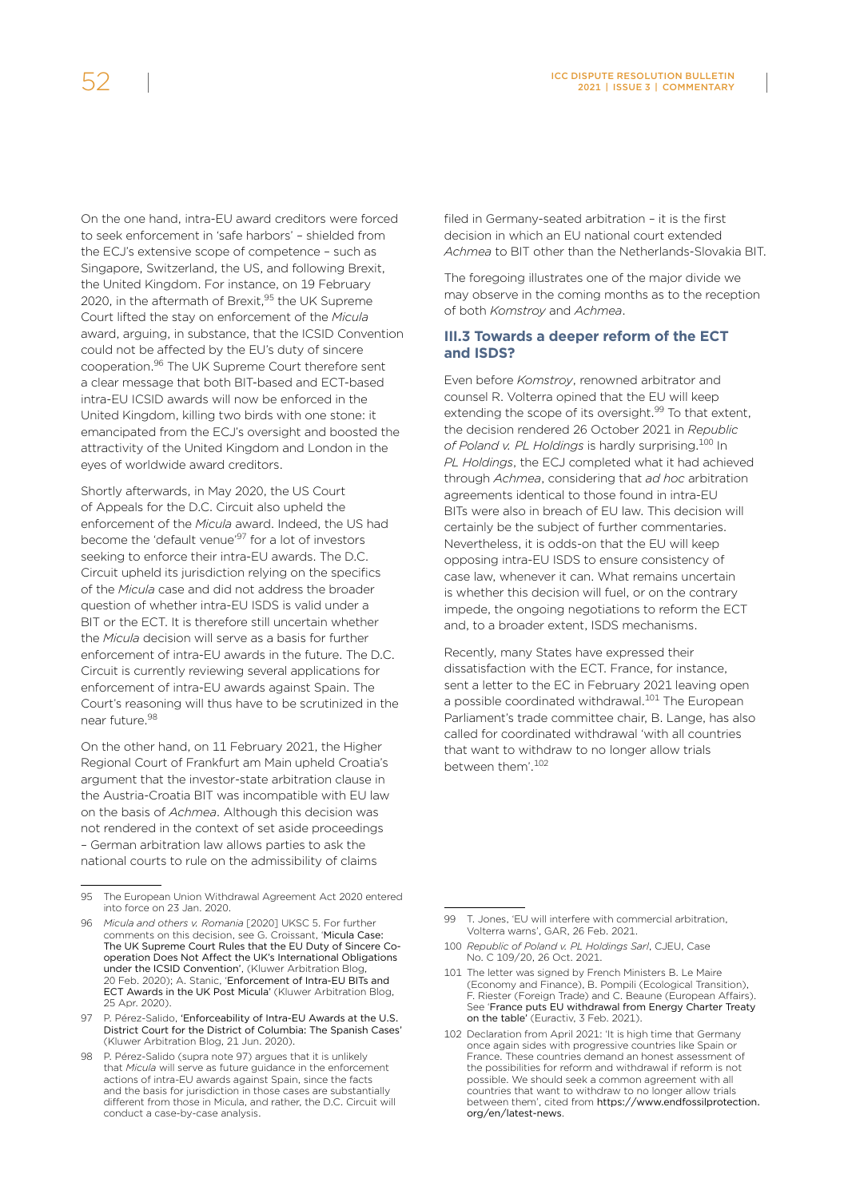On the one hand, intra-EU award creditors were forced to seek enforcement in 'safe harbors' – shielded from the ECJ's extensive scope of competence – such as Singapore, Switzerland, the US, and following Brexit, the United Kingdom. For instance, on 19 February

2020, in the aftermath of Brexit,<sup>95</sup> the UK Supreme Court lifted the stay on enforcement of the *Micula* award, arguing, in substance, that the ICSID Convention could not be affected by the EU's duty of sincere cooperation.96 The UK Supreme Court therefore sent a clear message that both BIT-based and ECT-based intra-EU ICSID awards will now be enforced in the United Kingdom, killing two birds with one stone: it emancipated from the ECJ's oversight and boosted the attractivity of the United Kingdom and London in the eyes of worldwide award creditors.

Shortly afterwards, in May 2020, the US Court of Appeals for the D.C. Circuit also upheld the enforcement of the *Micula* award. Indeed, the US had become the 'default venue'97 for a lot of investors seeking to enforce their intra-EU awards. The D.C. Circuit upheld its jurisdiction relying on the specifics of the *Micula* case and did not address the broader question of whether intra-EU ISDS is valid under a BIT or the ECT. It is therefore still uncertain whether the *Micula* decision will serve as a basis for further enforcement of intra-EU awards in the future. The D.C. Circuit is currently reviewing several applications for enforcement of intra-EU awards against Spain. The Court's reasoning will thus have to be scrutinized in the near future.98

On the other hand, on 11 February 2021, the Higher Regional Court of Frankfurt am Main upheld Croatia's argument that the investor-state arbitration clause in the Austria-Croatia BIT was incompatible with EU law on the basis of *Achmea*. Although this decision was not rendered in the context of set aside proceedings – German arbitration law allows parties to ask the national courts to rule on the admissibility of claims

97 P. Pérez-Salido, 'Enforceability of Intra-EU Awards at the U.S. [District Court for the District of Columbia: The Spanish Cases'](http://arbitrationblog.kluwerarbitration.com/2020/06/21/enforceability-of-intra-eu-awards-at-the-u-s-district-court-for-the-district-of-columbia-the-spanish-cases/) (Kluwer Arbitration Blog, 21 Jun. 2020).

filed in Germany-seated arbitration – it is the first decision in which an EU national court extended *Achmea* to BIT other than the Netherlands-Slovakia BIT.

The foregoing illustrates one of the major divide we may observe in the coming months as to the reception of both *Komstroy* and *Achmea*.

#### **III.3 Towards a deeper reform of the ECT and ISDS?**

Even before *Komstroy*, renowned arbitrator and counsel R. Volterra opined that the EU will keep extending the scope of its oversight.<sup>99</sup> To that extent, the decision rendered 26 October 2021 in *Republic*  of Poland v. PL Holdings is hardly surprising.<sup>100</sup> In *PL Holdings*, the ECJ completed what it had achieved through *Achmea*, considering that *ad hoc* arbitration agreements identical to those found in intra-EU BITs were also in breach of EU law. This decision will certainly be the subject of further commentaries. Nevertheless, it is odds-on that the EU will keep opposing intra-EU ISDS to ensure consistency of case law, whenever it can. What remains uncertain is whether this decision will fuel, or on the contrary impede, the ongoing negotiations to reform the ECT and, to a broader extent, ISDS mechanisms.

Recently, many States have expressed their dissatisfaction with the ECT. France, for instance, sent a letter to the EC in February 2021 leaving open a possible coordinated withdrawal.<sup>101</sup> The European Parliament's trade committee chair, B. Lange, has also called for coordinated withdrawal 'with all countries that want to withdraw to no longer allow trials between them' 102

- 100 *Republic of Poland v. PL Holdings Sarl*, CJEU, Case No. C 109/20, 26 Oct. 2021.
- 101 The letter was signed by French Ministers B. Le Maire (Economy and Finance), B. Pompili (Ecological Transition), F. Riester (Foreign Trade) and C. Beaune (European Affairs). See '[France puts EU withdrawal from Energy Charter Treaty](https://www.euractiv.com/section/energy/news/france-puts-eu-withdrawal-from-energy-charter-treaty-on-the-table/)  [on the table'](https://www.euractiv.com/section/energy/news/france-puts-eu-withdrawal-from-energy-charter-treaty-on-the-table/) (Euractiv, 3 Feb. 2021).
- 102 Declaration from April 2021: 'It is high time that Germany once again sides with progressive countries like Spain or France. These countries demand an honest assessment of the possibilities for reform and withdrawal if reform is not possible. We should seek a common agreement with all countries that want to withdraw to no longer allow trials between them', cited from [https://www.endfossilprotection.](https://www.endfossilprotection.org/en/latest-news) [org/en/latest-news](https://www.endfossilprotection.org/en/latest-news).

<sup>95</sup> The European Union Withdrawal Agreement Act 2020 entered into force on 23 Jan. 2020.

<sup>96</sup> *Micula and others v. Romania* [2020] UKSC 5. For further comments on this decision, see G. Croissant, '[Micula Case:](http://arbitrationblog.kluwerarbitration.com/2020/02/20/micula-case-the-uk-supreme-court-rules-that-the-eu-duty-of-sincere-co-operation-does-not-affect-the-uks-international-obligations-under-the-icsid-convention/)  [The UK Supreme Court Rules that the EU Duty of Sincere Co](http://arbitrationblog.kluwerarbitration.com/2020/02/20/micula-case-the-uk-supreme-court-rules-that-the-eu-duty-of-sincere-co-operation-does-not-affect-the-uks-international-obligations-under-the-icsid-convention/)[operation Does Not Affect the UK's International Obligations](http://arbitrationblog.kluwerarbitration.com/2020/02/20/micula-case-the-uk-supreme-court-rules-that-the-eu-duty-of-sincere-co-operation-does-not-affect-the-uks-international-obligations-under-the-icsid-convention/)  [under the ICSID Convention'](http://arbitrationblog.kluwerarbitration.com/2020/02/20/micula-case-the-uk-supreme-court-rules-that-the-eu-duty-of-sincere-co-operation-does-not-affect-the-uks-international-obligations-under-the-icsid-convention/), (Kluwer Arbitration Blo 20 Feb. 2020); A. Stanic, 'Enforcement of Intra-EU BITs and ECT Awards in the UK Post Micula' (Kluwer Arbitration Blog, 25 Apr. 2020).

<sup>98</sup> P. Pérez-Salido (supra note 97) argues that it is unlikely that *Micula* will serve as future guidance in the enforcement actions of intra-EU awards against Spain, since the facts and the basis for jurisdiction in those cases are substantially different from those in Micula, and rather, the D.C. Circuit will conduct a case-by-case analysis.

<sup>99</sup> T. Jones, 'EU will interfere with commercial arbitration, Volterra warns', GAR, 26 Feb. 2021.